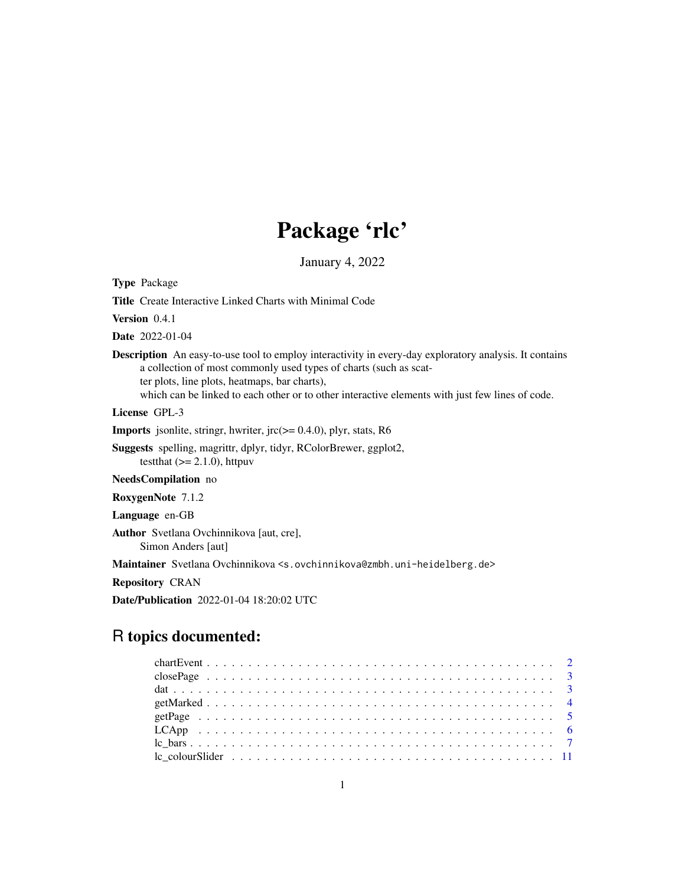## Package 'rlc'

January 4, 2022

<span id="page-0-0"></span>Type Package

Title Create Interactive Linked Charts with Minimal Code

Version 0.4.1

Date 2022-01-04

Description An easy-to-use tool to employ interactivity in every-day exploratory analysis. It contains a collection of most commonly used types of charts (such as scatter plots, line plots, heatmaps, bar charts), which can be linked to each other or to other interactive elements with just few lines of code.

License GPL-3

**Imports** jsonlite, stringr, hwriter,  $\text{jrc} (= 0.4.0)$ , plyr, stats, R6

Suggests spelling, magrittr, dplyr, tidyr, RColorBrewer, ggplot2, testthat  $(>= 2.1.0)$ , httpuv

NeedsCompilation no

RoxygenNote 7.1.2

Language en-GB

Author Svetlana Ovchinnikova [aut, cre], Simon Anders [aut]

Maintainer Svetlana Ovchinnikova <s.ovchinnikova@zmbh.uni-heidelberg.de>

Repository CRAN

Date/Publication 2022-01-04 18:20:02 UTC

### R topics documented: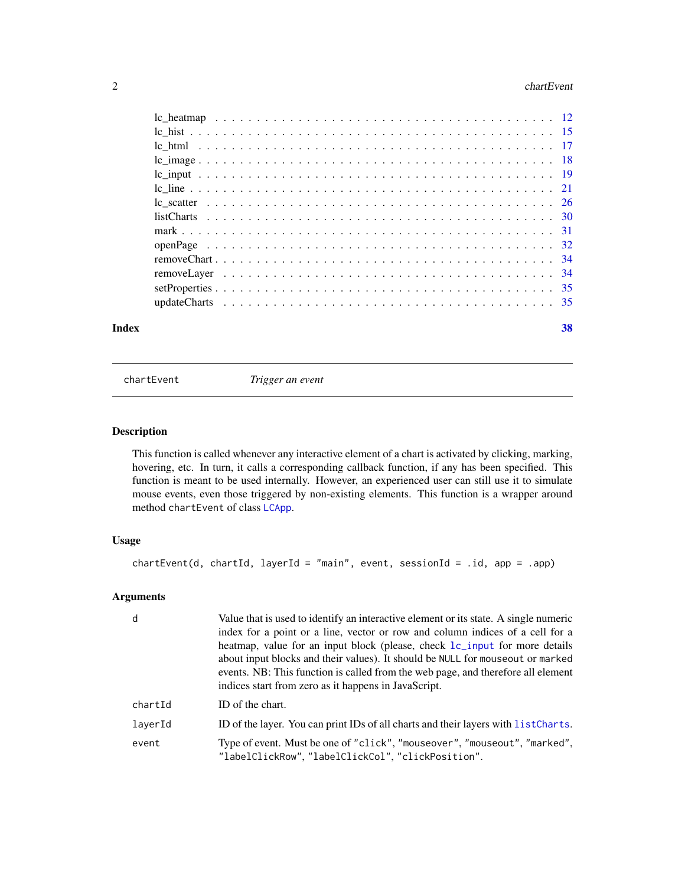#### $2 \t\t \text{chartEvent}$

| Index |  |  |  |  |  |  |  |  |  |  |  |  |  |  |  |  | 38 |
|-------|--|--|--|--|--|--|--|--|--|--|--|--|--|--|--|--|----|

chartEvent *Trigger an event*

#### Description

This function is called whenever any interactive element of a chart is activated by clicking, marking, hovering, etc. In turn, it calls a corresponding callback function, if any has been specified. This function is meant to be used internally. However, an experienced user can still use it to simulate mouse events, even those triggered by non-existing elements. This function is a wrapper around method chartEvent of class [LCApp](#page-5-1).

#### Usage

```
chartEvent(d, chartId, layerId = "main", event, sessionId = .id, app = .app)
```
#### Arguments

| d       | Value that is used to identify an interactive element or its state. A single numeric<br>index for a point or a line, vector or row and column indices of a cell for a<br>heatmap, value for an input block (please, check 1c_input for more details<br>about input blocks and their values). It should be NULL for mouseout or marked<br>events. NB: This function is called from the web page, and therefore all element<br>indices start from zero as it happens in JavaScript. |
|---------|-----------------------------------------------------------------------------------------------------------------------------------------------------------------------------------------------------------------------------------------------------------------------------------------------------------------------------------------------------------------------------------------------------------------------------------------------------------------------------------|
| chartId | ID of the chart.                                                                                                                                                                                                                                                                                                                                                                                                                                                                  |
| laverId | ID of the layer. You can print IDs of all charts and their layers with list Charts.                                                                                                                                                                                                                                                                                                                                                                                               |
| event   | Type of event. Must be one of "click", "mouseover", "mouseout", "marked",<br>"labelClickRow", "labelClickCol", "clickPosition".                                                                                                                                                                                                                                                                                                                                                   |

<span id="page-1-0"></span>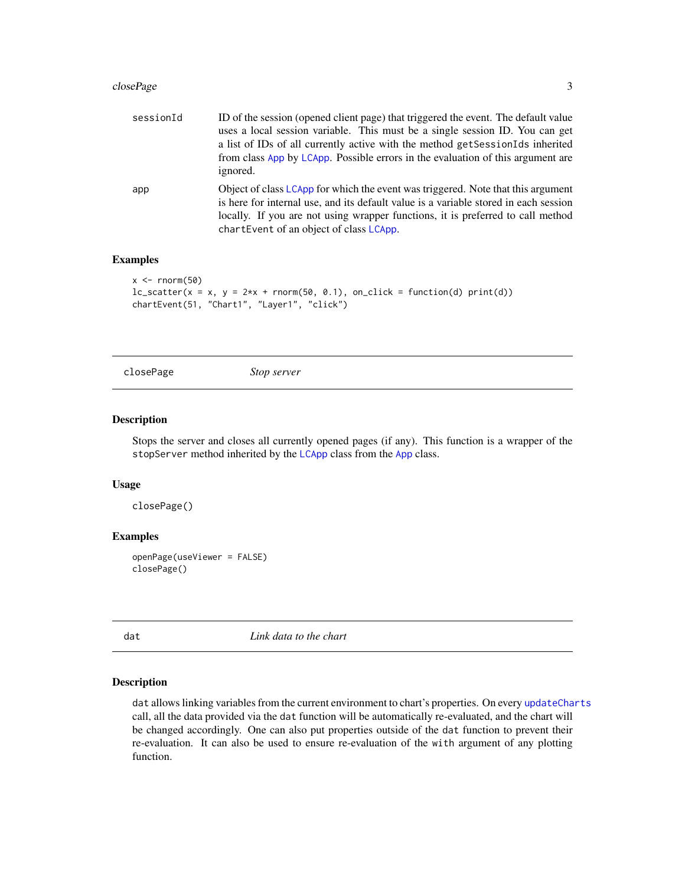#### <span id="page-2-0"></span>closePage 33 and 33 and 33 and 33 and 33 and 33 and 33 and 33 and 33 and 33 and 33 and 33 and 33 and 33 and 33 and 33 and 33 and 33 and 33 and 33 and 33 and 33 and 33 and 33 and 33 and 33 and 33 and 33 and 33 and 33 and 33

| sessionId | ID of the session (opened client page) that triggered the event. The default value<br>uses a local session variable. This must be a single session ID. You can get<br>a list of IDs of all currently active with the method get Session Ids inherited<br>from class App by LCApp. Possible errors in the evaluation of this argument are<br>ignored. |
|-----------|------------------------------------------------------------------------------------------------------------------------------------------------------------------------------------------------------------------------------------------------------------------------------------------------------------------------------------------------------|
| app       | Object of class LCApp for which the event was triggered. Note that this argument<br>is here for internal use, and its default value is a variable stored in each session<br>locally. If you are not using wrapper functions, it is preferred to call method<br>chartEvent of an object of class LCApp.                                               |

#### Examples

```
x \le - rnorm(50)
lc\_scatter(x = x, y = 2*x + rnorm(50, 0.1), on\_click = function(d) print(d))chartEvent(51, "Chart1", "Layer1", "click")
```
closePage *Stop server*

#### Description

Stops the server and closes all currently opened pages (if any). This function is a wrapper of the stopServer method inherited by the [LCApp](#page-5-1) class from the [App](#page-0-0) class.

#### Usage

closePage()

#### Examples

```
openPage(useViewer = FALSE)
closePage()
```
<span id="page-2-1"></span>dat *Link data to the chart*

#### Description

dat allows linking variables from the current environment to chart's properties. On every [updateCharts](#page-34-1) call, all the data provided via the dat function will be automatically re-evaluated, and the chart will be changed accordingly. One can also put properties outside of the dat function to prevent their re-evaluation. It can also be used to ensure re-evaluation of the with argument of any plotting function.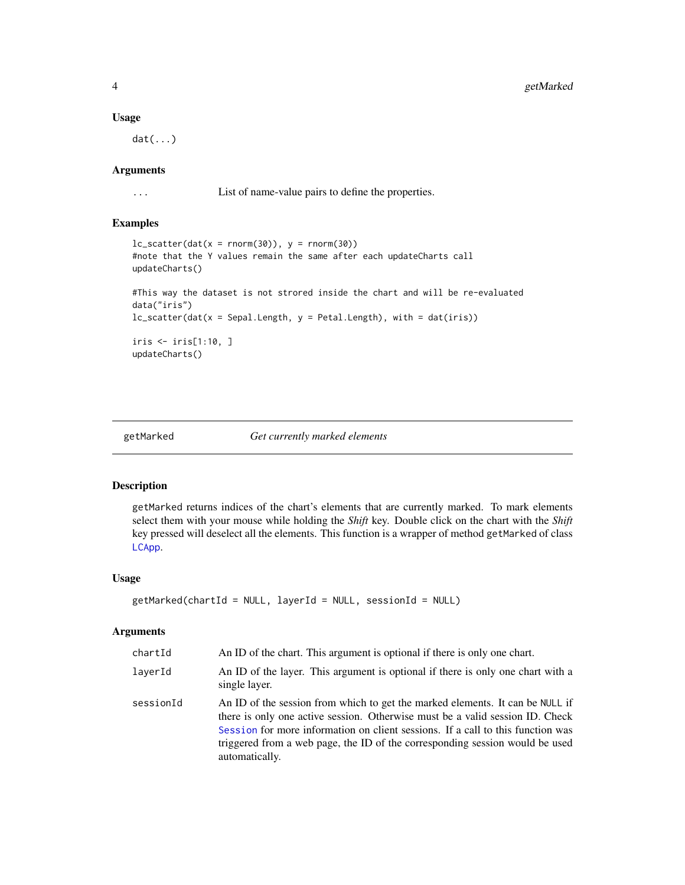#### Usage

dat(...)

#### Arguments

... List of name-value pairs to define the properties.

#### Examples

```
lc\_scatter(data(x = norm(30)), y = norm(30))#note that the Y values remain the same after each updateCharts call
updateCharts()
#This way the dataset is not strored inside the chart and will be re-evaluated
data("iris")
lc_scatter(dat(x = Sepal.Length, y = Petal.Length), with = dat(iris))
iris <- iris[1:10, ]
updateCharts()
```
<span id="page-3-1"></span>

```
getMarked Get currently marked elements
```
#### Description

getMarked returns indices of the chart's elements that are currently marked. To mark elements select them with your mouse while holding the *Shift* key. Double click on the chart with the *Shift* key pressed will deselect all the elements. This function is a wrapper of method getMarked of class [LCApp](#page-5-1).

#### Usage

```
getMarked(chartId = NULL, layerId = NULL, sessionId = NULL)
```
#### Arguments

| chartId   | An ID of the chart. This argument is optional if there is only one chart.                                                                                                                                                                                                                                                                           |
|-----------|-----------------------------------------------------------------------------------------------------------------------------------------------------------------------------------------------------------------------------------------------------------------------------------------------------------------------------------------------------|
| laverId   | An ID of the layer. This argument is optional if there is only one chart with a<br>single layer.                                                                                                                                                                                                                                                    |
| sessionId | An ID of the session from which to get the marked elements. It can be NULL if<br>there is only one active session. Otherwise must be a valid session ID. Check<br>Session for more information on client sessions. If a call to this function was<br>triggered from a web page, the ID of the corresponding session would be used<br>automatically. |

<span id="page-3-0"></span>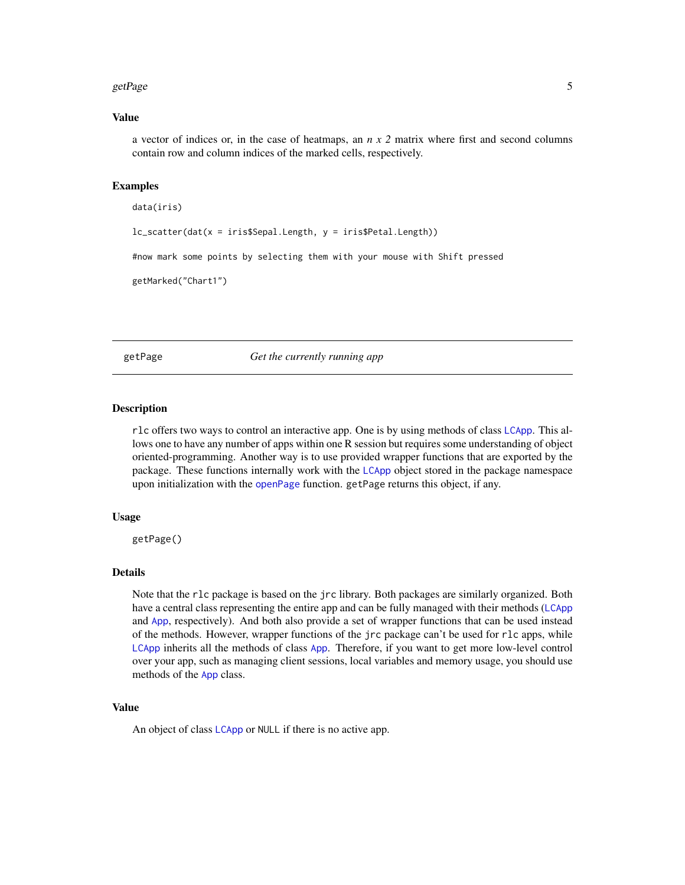#### <span id="page-4-0"></span>getPage 5

#### Value

a vector of indices or, in the case of heatmaps, an *n x 2* matrix where first and second columns contain row and column indices of the marked cells, respectively.

#### Examples

```
data(iris)
lc_scatter(dat(x = iris$Sepal.Length, y = iris$Petal.Length))
#now mark some points by selecting them with your mouse with Shift pressed
```
getMarked("Chart1")

<span id="page-4-1"></span>getPage *Get the currently running app*

#### Description

rlc offers two ways to control an interactive app. One is by using methods of class [LCApp](#page-5-1). This allows one to have any number of apps within one R session but requires some understanding of object oriented-programming. Another way is to use provided wrapper functions that are exported by the package. These functions internally work with the [LCApp](#page-5-1) object stored in the package namespace upon initialization with the [openPage](#page-31-1) function. getPage returns this object, if any.

#### Usage

getPage()

#### Details

Note that the rlc package is based on the jrc library. Both packages are similarly organized. Both have a central class representing the entire app and can be fully managed with their methods ([LCApp](#page-5-1) and [App](#page-0-0), respectively). And both also provide a set of wrapper functions that can be used instead of the methods. However, wrapper functions of the jrc package can't be used for rlc apps, while [LCApp](#page-5-1) inherits all the methods of class [App](#page-0-0). Therefore, if you want to get more low-level control over your app, such as managing client sessions, local variables and memory usage, you should use methods of the [App](#page-0-0) class.

#### Value

An object of class [LCApp](#page-5-1) or NULL if there is no active app.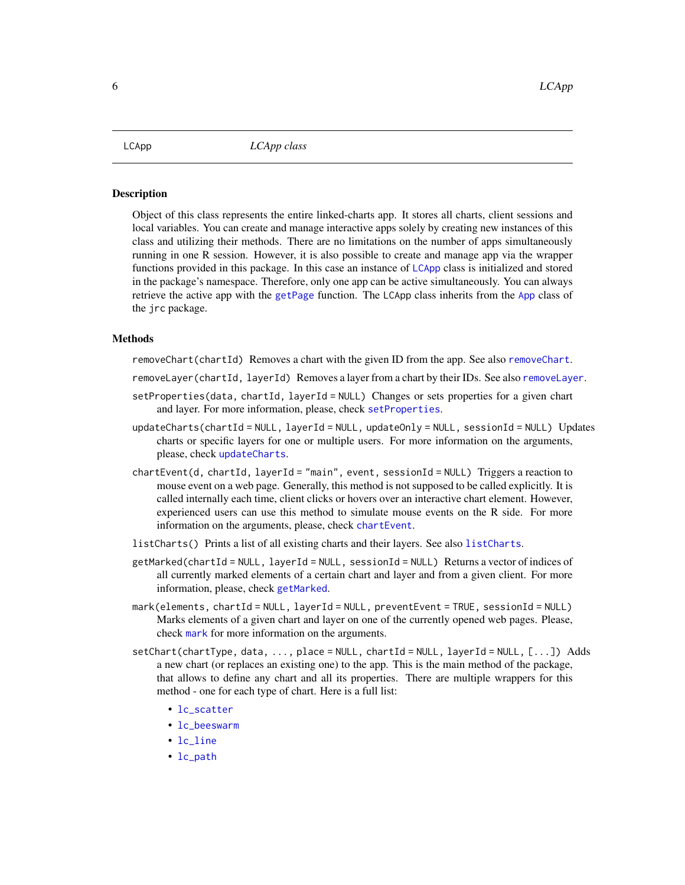<span id="page-5-1"></span><span id="page-5-0"></span>

#### Description

Object of this class represents the entire linked-charts app. It stores all charts, client sessions and local variables. You can create and manage interactive apps solely by creating new instances of this class and utilizing their methods. There are no limitations on the number of apps simultaneously running in one R session. However, it is also possible to create and manage app via the wrapper functions provided in this package. In this case an instance of [LCApp](#page-5-1) class is initialized and stored in the package's namespace. Therefore, only one app can be active simultaneously. You can always retrieve the active app with the [getPage](#page-4-1) function. The LCApp class inherits from the [App](#page-0-0) class of the jrc package.

#### Methods

removeChart(chartId) Removes a chart with the given ID from the app. See also [removeChart](#page-33-1).

- removeLayer(chartId, layerId) Removes a layer from a chart by their IDs. See also [removeLayer](#page-33-2).
- setProperties(data, chartId, layerId = NULL) Changes or sets properties for a given chart and layer. For more information, please, check [setProperties](#page-34-2).
- updateCharts(chartId = NULL, layerId = NULL, updateOnly = NULL, sessionId = NULL) Updates charts or specific layers for one or multiple users. For more information on the arguments, please, check [updateCharts](#page-34-1).
- chartEvent(d, chartId, layerId = "main", event, sessionId = NULL) Triggers a reaction to mouse event on a web page. Generally, this method is not supposed to be called explicitly. It is called internally each time, client clicks or hovers over an interactive chart element. However, experienced users can use this method to simulate mouse events on the R side. For more information on the arguments, please, check [chartEvent](#page-1-1).
- listCharts() Prints a list of all existing charts and their layers. See also [listCharts](#page-29-1).
- getMarked(chartId = NULL, layerId = NULL, sessionId = NULL) Returns a vector of indices of all currently marked elements of a certain chart and layer and from a given client. For more information, please, check [getMarked](#page-3-1).
- mark(elements, chartId = NULL, layerId = NULL, preventEvent = TRUE, sessionId = NULL) Marks elements of a given chart and layer on one of the currently opened web pages. Please, check [mark](#page-30-1) for more information on the arguments.
- setChart(chartType, data, ..., place = NULL, chartId = NULL, layerId = NULL, [...]) Adds a new chart (or replaces an existing one) to the app. This is the main method of the package, that allows to define any chart and all its properties. There are multiple wrappers for this method - one for each type of chart. Here is a full list:
	- [lc\\_scatter](#page-25-1)
	- [lc\\_beeswarm](#page-25-2)
	- [lc\\_line](#page-20-1)
	- [lc\\_path](#page-20-2)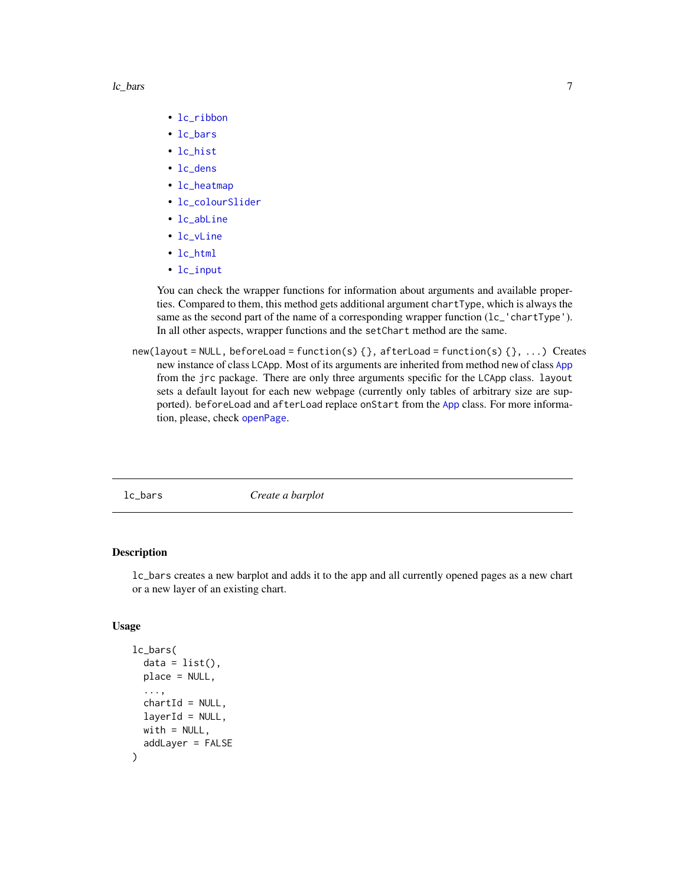#### <span id="page-6-0"></span>lc\_bars 7

- [lc\\_ribbon](#page-20-2)
- [lc\\_bars](#page-6-1)
- [lc\\_hist](#page-14-1)
- [lc\\_dens](#page-14-2)
- [lc\\_heatmap](#page-11-1)
- [lc\\_colourSlider](#page-10-1)
- [lc\\_abLine](#page-20-2)
- [lc\\_vLine](#page-20-2)
- [lc\\_html](#page-16-1)
- [lc\\_input](#page-18-1)

You can check the wrapper functions for information about arguments and available properties. Compared to them, this method gets additional argument chartType, which is always the same as the second part of the name of a corresponding wrapper function (lc\_'chartType'). In all other aspects, wrapper functions and the setChart method are the same.

new(layout = NULL, beforeLoad = function(s) {}, afterLoad = function(s) {}, ...) Creates new instance of class LCApp. Most of its arguments are inherited from method new of class [App](#page-0-0) from the jrc package. There are only three arguments specific for the LCApp class. layout sets a default layout for each new webpage (currently only tables of arbitrary size are sup-ported). beforeLoad and afterLoad replace onStart from the [App](#page-0-0) class. For more information, please, check [openPage](#page-31-1).

<span id="page-6-1"></span>

lc\_bars *Create a barplot*

#### Description

lc\_bars creates a new barplot and adds it to the app and all currently opened pages as a new chart or a new layer of an existing chart.

#### Usage

```
lc_bars(
  data = list(),
  place = NULL,
  ...,
  chartId = NULL,layerId = NULL,with = NULL,addLayer = FALSE
)
```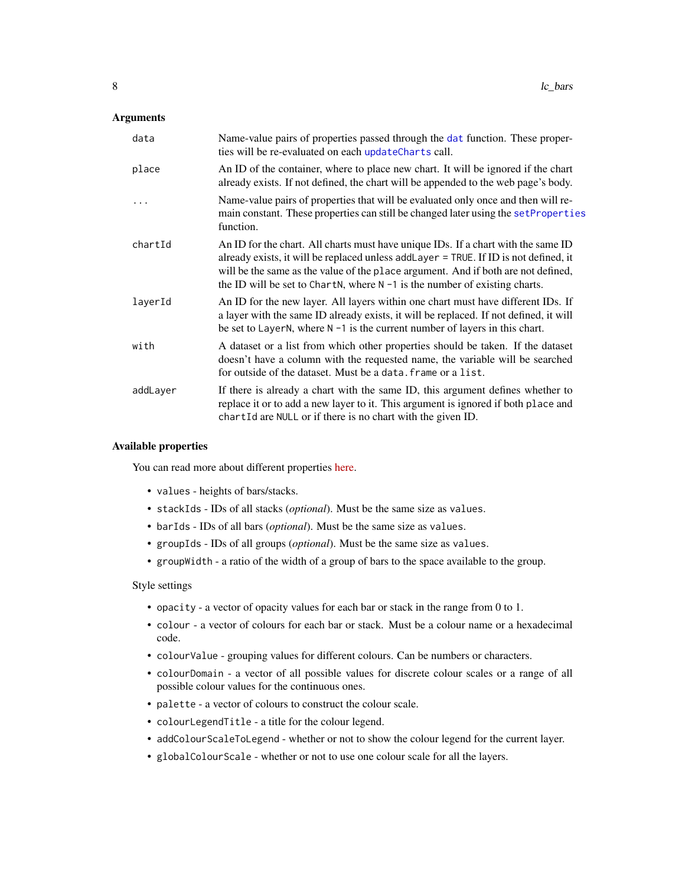#### <span id="page-7-0"></span>**Arguments**

| data     | Name-value pairs of properties passed through the dat function. These proper-<br>ties will be re-evaluated on each updateCharts call.                                                                                                                                                                                                           |
|----------|-------------------------------------------------------------------------------------------------------------------------------------------------------------------------------------------------------------------------------------------------------------------------------------------------------------------------------------------------|
| place    | An ID of the container, where to place new chart. It will be ignored if the chart<br>already exists. If not defined, the chart will be appended to the web page's body.                                                                                                                                                                         |
|          | Name-value pairs of properties that will be evaluated only once and then will re-<br>main constant. These properties can still be changed later using the set Properties<br>function.                                                                                                                                                           |
| chartId  | An ID for the chart. All charts must have unique IDs. If a chart with the same ID<br>already exists, it will be replaced unless addLayer = TRUE. If ID is not defined, it<br>will be the same as the value of the place argument. And if both are not defined,<br>the ID will be set to ChartN, where $N - 1$ is the number of existing charts. |
| layerId  | An ID for the new layer. All layers within one chart must have different IDs. If<br>a layer with the same ID already exists, it will be replaced. If not defined, it will<br>be set to LayerN, where $N - 1$ is the current number of layers in this chart.                                                                                     |
| with     | A dataset or a list from which other properties should be taken. If the dataset<br>doesn't have a column with the requested name, the variable will be searched<br>for outside of the dataset. Must be a data. frame or a list.                                                                                                                 |
| addLayer | If there is already a chart with the same ID, this argument defines whether to<br>replace it or to add a new layer to it. This argument is ignored if both place and<br>chartId are NULL or if there is no chart with the given ID.                                                                                                             |

#### Available properties

You can read more about different properties [here.](https://anders-biostat.github.io/linked-charts/rlc/tutorials/props.html)

- values heights of bars/stacks.
- stackIds IDs of all stacks (*optional*). Must be the same size as values.
- barIds IDs of all bars (*optional*). Must be the same size as values.
- groupIds IDs of all groups (*optional*). Must be the same size as values.
- groupWidth a ratio of the width of a group of bars to the space available to the group.

#### Style settings

- opacity a vector of opacity values for each bar or stack in the range from 0 to 1.
- colour a vector of colours for each bar or stack. Must be a colour name or a hexadecimal code.
- colourValue grouping values for different colours. Can be numbers or characters.
- colourDomain a vector of all possible values for discrete colour scales or a range of all possible colour values for the continuous ones.
- palette a vector of colours to construct the colour scale.
- colourLegendTitle a title for the colour legend.
- addColourScaleToLegend whether or not to show the colour legend for the current layer.
- globalColourScale whether or not to use one colour scale for all the layers.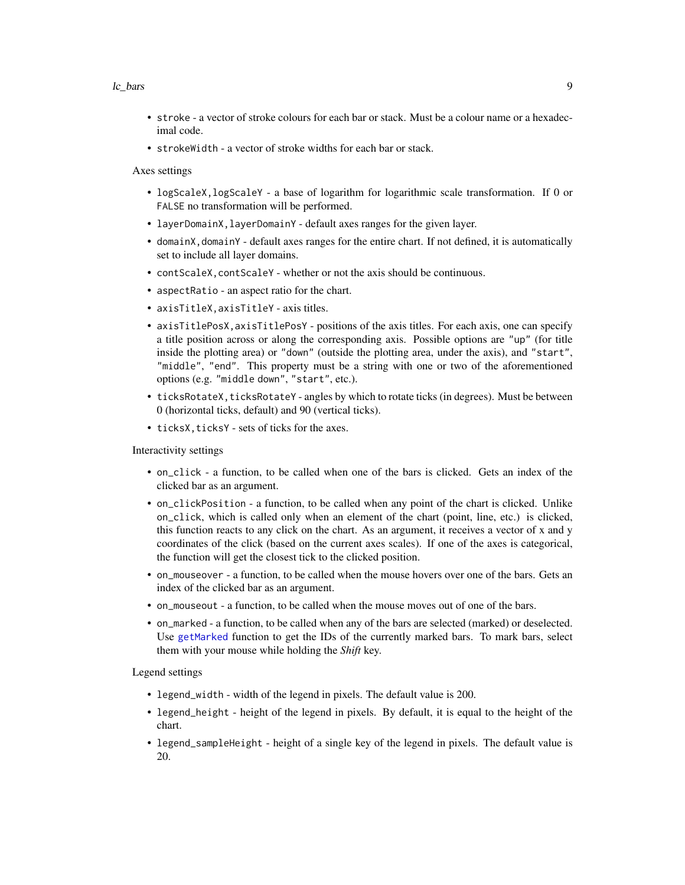#### <span id="page-8-0"></span>lc\_bars 9

- stroke a vector of stroke colours for each bar or stack. Must be a colour name or a hexadecimal code.
- strokeWidth a vector of stroke widths for each bar or stack.

Axes settings

- logScaleX,logScaleY a base of logarithm for logarithmic scale transformation. If 0 or FALSE no transformation will be performed.
- layerDomainX,layerDomainY default axes ranges for the given layer.
- domainX,domainY default axes ranges for the entire chart. If not defined, it is automatically set to include all layer domains.
- contScaleX,contScaleY whether or not the axis should be continuous.
- aspectRatio an aspect ratio for the chart.
- axisTitleX,axisTitleY axis titles.
- axisTitlePosX, axisTitlePosY positions of the axis titles. For each axis, one can specify a title position across or along the corresponding axis. Possible options are "up" (for title inside the plotting area) or "down" (outside the plotting area, under the axis), and "start", "middle", "end". This property must be a string with one or two of the aforementioned options (e.g. "middle down", "start", etc.).
- ticksRotateX, ticksRotateY angles by which to rotate ticks (in degrees). Must be between 0 (horizontal ticks, default) and 90 (vertical ticks).
- ticksX, ticksY sets of ticks for the axes.

Interactivity settings

- on\_click a function, to be called when one of the bars is clicked. Gets an index of the clicked bar as an argument.
- on\_clickPosition a function, to be called when any point of the chart is clicked. Unlike on\_click, which is called only when an element of the chart (point, line, etc.) is clicked, this function reacts to any click on the chart. As an argument, it receives a vector of x and y coordinates of the click (based on the current axes scales). If one of the axes is categorical, the function will get the closest tick to the clicked position.
- on\_mouseover a function, to be called when the mouse hovers over one of the bars. Gets an index of the clicked bar as an argument.
- on\_mouseout a function, to be called when the mouse moves out of one of the bars.
- on\_marked a function, to be called when any of the bars are selected (marked) or deselected. Use [getMarked](#page-3-1) function to get the IDs of the currently marked bars. To mark bars, select them with your mouse while holding the *Shift* key.

Legend settings

- legend\_width width of the legend in pixels. The default value is 200.
- legend\_height height of the legend in pixels. By default, it is equal to the height of the chart.
- legend\_sampleHeight height of a single key of the legend in pixels. The default value is 20.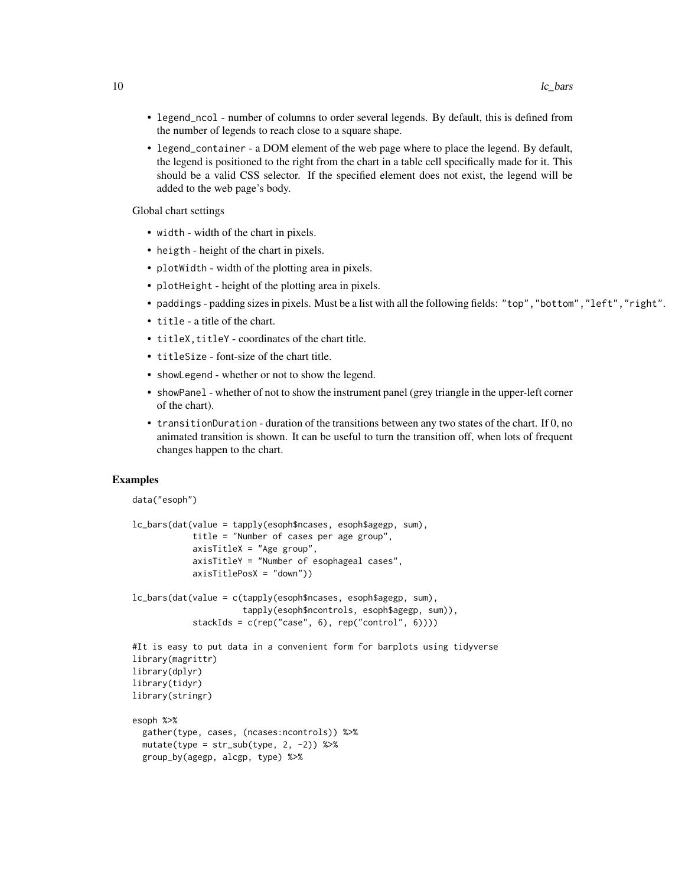- legend\_ncol number of columns to order several legends. By default, this is defined from the number of legends to reach close to a square shape.
- legend\_container a DOM element of the web page where to place the legend. By default, the legend is positioned to the right from the chart in a table cell specifically made for it. This should be a valid CSS selector. If the specified element does not exist, the legend will be added to the web page's body.

Global chart settings

- width width of the chart in pixels.
- heigth height of the chart in pixels.
- plotWidth width of the plotting area in pixels.
- plotHeight height of the plotting area in pixels.
- paddings padding sizes in pixels. Must be a list with all the following fields: "top","bottom","left","right".
- title a title of the chart.
- titleX, titleY coordinates of the chart title.
- titleSize font-size of the chart title.

group\_by(agegp, alcgp, type) %>%

- showLegend whether or not to show the legend.
- showPanel whether of not to show the instrument panel (grey triangle in the upper-left corner of the chart).
- transitionDuration duration of the transitions between any two states of the chart. If 0, no animated transition is shown. It can be useful to turn the transition off, when lots of frequent changes happen to the chart.

#### Examples

```
data("esoph")
```

```
lc_bars(dat(value = tapply(esoph$ncases, esoph$agegp, sum),
            title = "Number of cases per age group",
            axisTitleX = "Age group",
            axisTitleY = "Number of esophageal cases",
            axisTitlePosX = "down"))
lc_bars(dat(value = c(tapply(esoph$ncases, esoph$agegp, sum),
                      tapply(esoph$ncontrols, esoph$agegp, sum)),
            stackIds = c(rep("case", 6), rep("control", 6))))#It is easy to put data in a convenient form for barplots using tidyverse
library(magrittr)
library(dplyr)
library(tidyr)
library(stringr)
esoph %>%
 gather(type, cases, (ncases:ncontrols)) %>%
 mutate(type = str\_sub(type, 2, -2)) %>%
```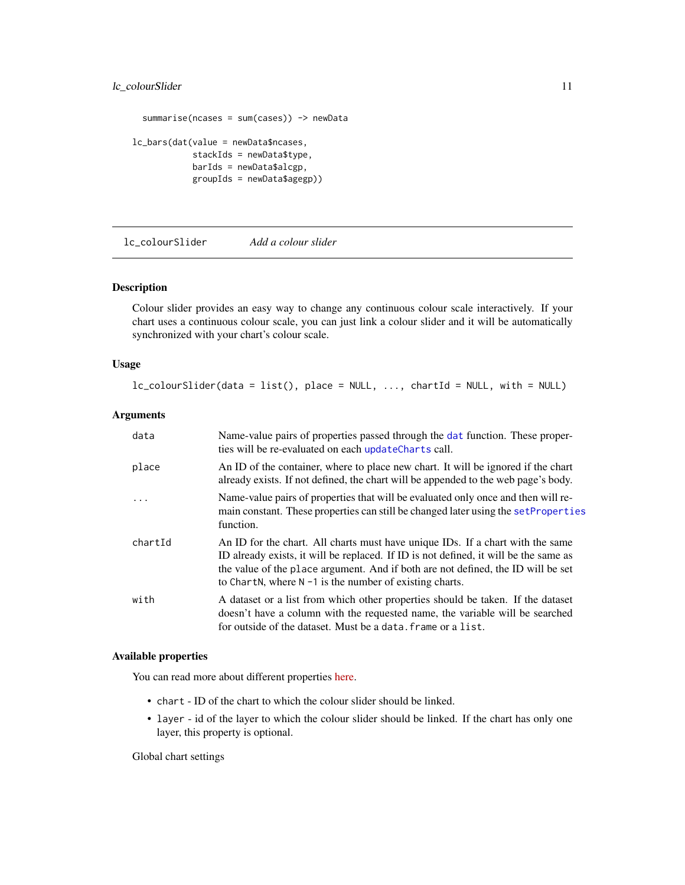#### <span id="page-10-0"></span>lc\_colourSlider 11

```
summarise(ncases = sum(cases)) -> newData
lc_bars(dat(value = newData$ncases,
            stackIds = newData$type,
            barIds = newData$alcgp,
            groupIds = newData$agegp))
```
<span id="page-10-1"></span>lc\_colourSlider *Add a colour slider*

#### Description

Colour slider provides an easy way to change any continuous colour scale interactively. If your chart uses a continuous colour scale, you can just link a colour slider and it will be automatically synchronized with your chart's colour scale.

#### Usage

```
lc_colourSlider(data = list(), place = NULL, ..., chartId = NULL, with = NULL)
```
#### Arguments

| data    | Name-value pairs of properties passed through the dat function. These proper-<br>ties will be re-evaluated on each updateCharts call.                                                                                                                                                                                    |
|---------|--------------------------------------------------------------------------------------------------------------------------------------------------------------------------------------------------------------------------------------------------------------------------------------------------------------------------|
| place   | An ID of the container, where to place new chart. It will be ignored if the chart<br>already exists. If not defined, the chart will be appended to the web page's body.                                                                                                                                                  |
| .       | Name-value pairs of properties that will be evaluated only once and then will re-<br>main constant. These properties can still be changed later using the set Properties<br>function.                                                                                                                                    |
| chartId | An ID for the chart. All charts must have unique IDs. If a chart with the same<br>ID already exists, it will be replaced. If ID is not defined, it will be the same as<br>the value of the place argument. And if both are not defined, the ID will be set<br>to ChartN, where $N - 1$ is the number of existing charts. |
| with    | A dataset or a list from which other properties should be taken. If the dataset<br>doesn't have a column with the requested name, the variable will be searched<br>for outside of the dataset. Must be a data, frame or a list.                                                                                          |

#### Available properties

You can read more about different properties [here.](https://anders-biostat.github.io/linked-charts/rlc/tutorials/props.html)

- chart ID of the chart to which the colour slider should be linked.
- layer id of the layer to which the colour slider should be linked. If the chart has only one layer, this property is optional.

Global chart settings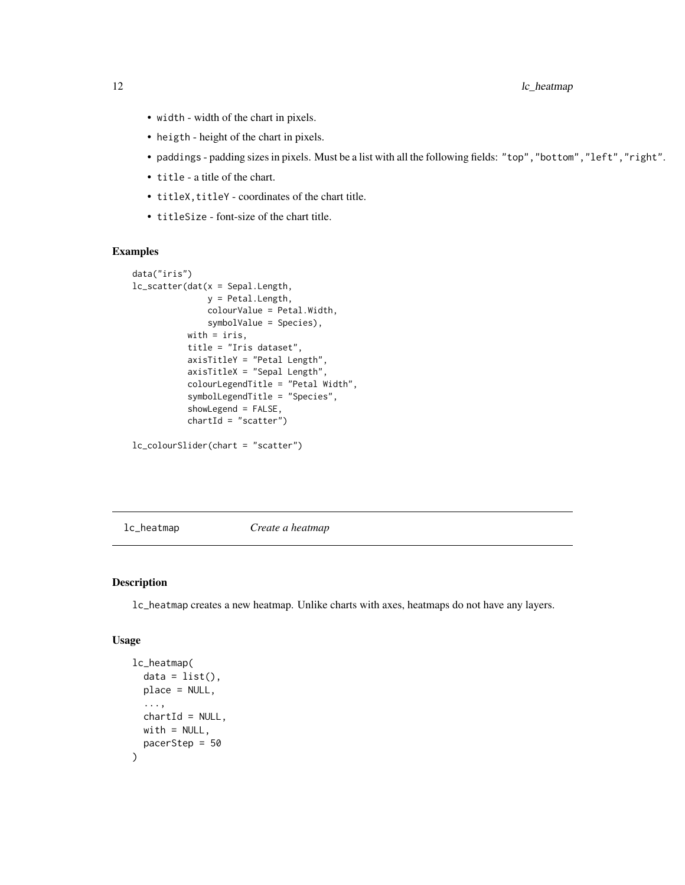<span id="page-11-0"></span>12 lc\_heatmap

- width width of the chart in pixels.
- heigth height of the chart in pixels.
- paddings padding sizes in pixels. Must be a list with all the following fields: "top","bottom","left","right".
- title a title of the chart.
- titleX, titleY coordinates of the chart title.
- titleSize font-size of the chart title.

#### Examples

```
data("iris")
lc_scatter(dat(x = Sepal.Length,
               y = Petal.Length,
               colourValue = Petal.Width,
               symbolValue = Species),
           with = iris,
           title = "Iris dataset",
           axisTitleY = "Petal Length",
           axisTitleX = "Sepal Length",
           colourLegendTitle = "Petal Width",
           symbolLegendTitle = "Species",
           showLegend = FALSE,
           chartId = "scatter")
```

```
lc_colourSlider(chart = "scatter")
```
<span id="page-11-1"></span>lc\_heatmap *Create a heatmap*

#### Description

lc\_heatmap creates a new heatmap. Unlike charts with axes, heatmaps do not have any layers.

#### Usage

```
lc_heatmap(
  data = list(),
 place = NULL,
  ...,
 chartId = NULL,with = NULL,
 pacerStep = 50
)
```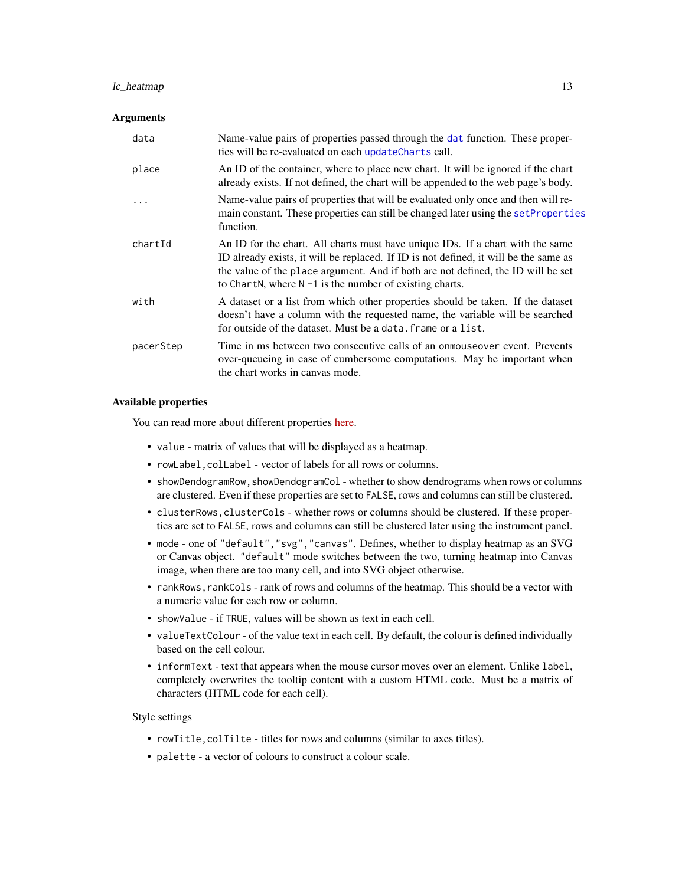#### <span id="page-12-0"></span>lc\_heatmap 13

#### **Arguments**

| data      | Name-value pairs of properties passed through the dat function. These proper-<br>ties will be re-evaluated on each updateCharts call.                                                                                                                                                                                    |
|-----------|--------------------------------------------------------------------------------------------------------------------------------------------------------------------------------------------------------------------------------------------------------------------------------------------------------------------------|
| place     | An ID of the container, where to place new chart. It will be ignored if the chart<br>already exists. If not defined, the chart will be appended to the web page's body.                                                                                                                                                  |
|           | Name-value pairs of properties that will be evaluated only once and then will re-<br>main constant. These properties can still be changed later using the set Properties<br>function.                                                                                                                                    |
| chartId   | An ID for the chart. All charts must have unique IDs. If a chart with the same<br>ID already exists, it will be replaced. If ID is not defined, it will be the same as<br>the value of the place argument. And if both are not defined, the ID will be set<br>to ChartN, where $N - 1$ is the number of existing charts. |
| with      | A dataset or a list from which other properties should be taken. If the dataset<br>doesn't have a column with the requested name, the variable will be searched<br>for outside of the dataset. Must be a data, frame or a list.                                                                                          |
| pacerStep | Time in ms between two consecutive calls of an onmouse over event. Prevents<br>over-queueing in case of cumbersome computations. May be important when<br>the chart works in canvas mode.                                                                                                                                |

#### Available properties

You can read more about different properties [here.](https://anders-biostat.github.io/linked-charts/rlc/tutorials/props.html)

- value matrix of values that will be displayed as a heatmap.
- rowLabel,colLabel vector of labels for all rows or columns.
- showDendogramRow, showDendogramCol whether to show dendrograms when rows or columns are clustered. Even if these properties are set to FALSE, rows and columns can still be clustered.
- clusterRows,clusterCols whether rows or columns should be clustered. If these properties are set to FALSE, rows and columns can still be clustered later using the instrument panel.
- mode one of "default","svg","canvas". Defines, whether to display heatmap as an SVG or Canvas object. "default" mode switches between the two, turning heatmap into Canvas image, when there are too many cell, and into SVG object otherwise.
- rankRows, rankCols rank of rows and columns of the heatmap. This should be a vector with a numeric value for each row or column.
- showValue if TRUE, values will be shown as text in each cell.
- valueTextColour of the value text in each cell. By default, the colour is defined individually based on the cell colour.
- informText text that appears when the mouse cursor moves over an element. Unlike label, completely overwrites the tooltip content with a custom HTML code. Must be a matrix of characters (HTML code for each cell).

#### Style settings

- rowTitle,colTilte titles for rows and columns (similar to axes titles).
- palette a vector of colours to construct a colour scale.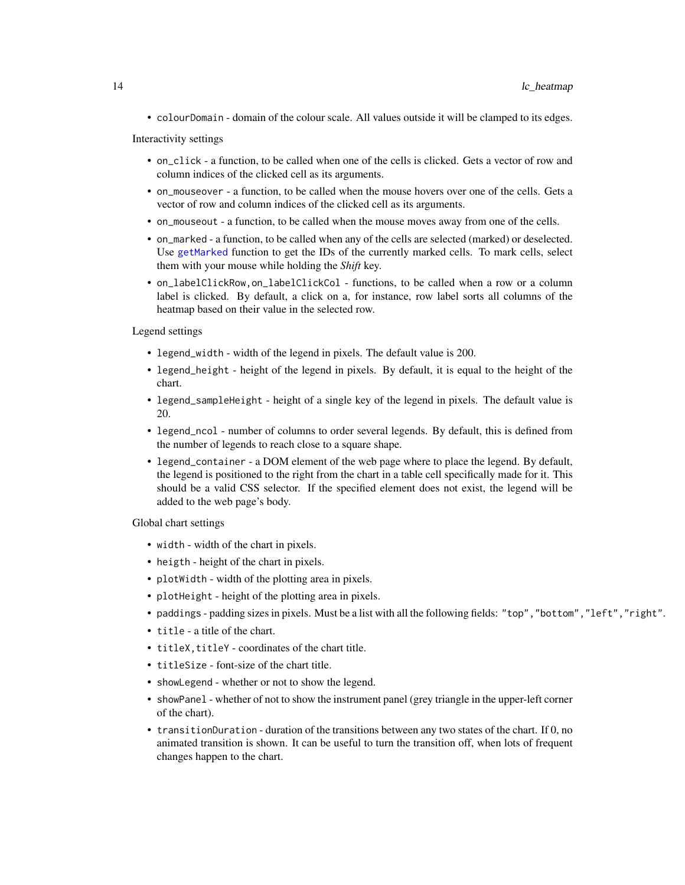<span id="page-13-0"></span>• colourDomain - domain of the colour scale. All values outside it will be clamped to its edges.

Interactivity settings

- on\_click a function, to be called when one of the cells is clicked. Gets a vector of row and column indices of the clicked cell as its arguments.
- on\_mouseover a function, to be called when the mouse hovers over one of the cells. Gets a vector of row and column indices of the clicked cell as its arguments.
- on\_mouseout a function, to be called when the mouse moves away from one of the cells.
- on\_marked a function, to be called when any of the cells are selected (marked) or deselected. Use [getMarked](#page-3-1) function to get the IDs of the currently marked cells. To mark cells, select them with your mouse while holding the *Shift* key.
- on\_labelClickRow,on\_labelClickCol functions, to be called when a row or a column label is clicked. By default, a click on a, for instance, row label sorts all columns of the heatmap based on their value in the selected row.

Legend settings

- legend\_width width of the legend in pixels. The default value is 200.
- legend\_height height of the legend in pixels. By default, it is equal to the height of the chart.
- legend\_sampleHeight height of a single key of the legend in pixels. The default value is 20.
- legend\_ncol number of columns to order several legends. By default, this is defined from the number of legends to reach close to a square shape.
- legend\_container a DOM element of the web page where to place the legend. By default, the legend is positioned to the right from the chart in a table cell specifically made for it. This should be a valid CSS selector. If the specified element does not exist, the legend will be added to the web page's body.

Global chart settings

- width width of the chart in pixels.
- heigth height of the chart in pixels.
- plotWidth width of the plotting area in pixels.
- plotHeight height of the plotting area in pixels.
- paddings padding sizes in pixels. Must be a list with all the following fields: "top","bottom","left","right".
- title a title of the chart.
- titleX, titleY coordinates of the chart title.
- titleSize font-size of the chart title.
- showLegend whether or not to show the legend.
- showPanel whether of not to show the instrument panel (grey triangle in the upper-left corner of the chart).
- transitionDuration duration of the transitions between any two states of the chart. If 0, no animated transition is shown. It can be useful to turn the transition off, when lots of frequent changes happen to the chart.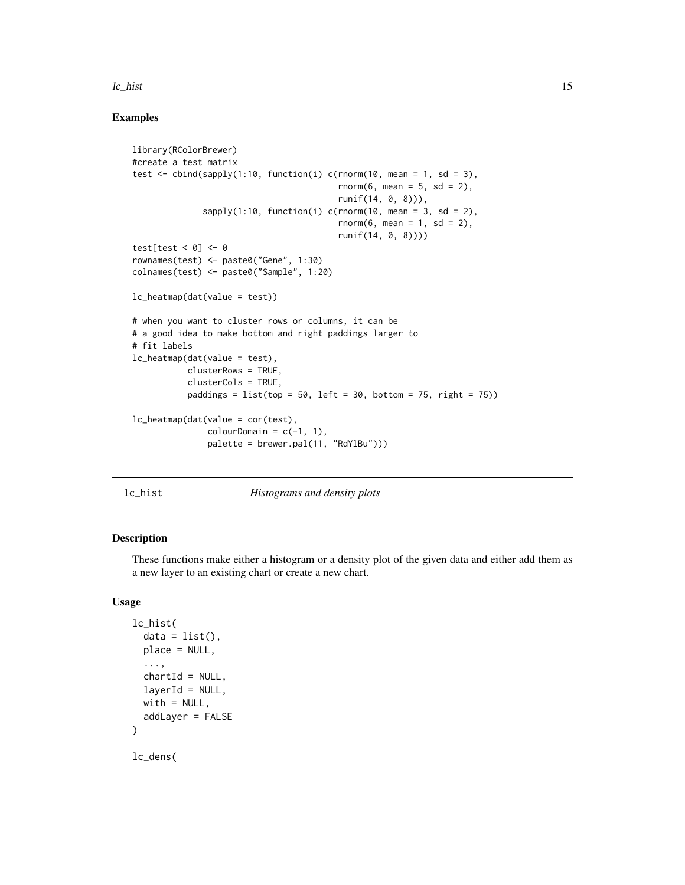#### <span id="page-14-0"></span> $lc_{\text{th}}$ ist 15

#### Examples

```
library(RColorBrewer)
#create a test matrix
test \le cbind(sapply(1:10, function(i) c(rnorm(10, mean = 1, sd = 3),
                                          rnorm(6, mean = 5, sd = 2),
                                          runif(14, 0, 8))),
              sapply(1:10, function(i) c(rnorm(10, mean = 3, sd = 2),
                                          rnorm(6, \text{mean} = 1, \text{sd} = 2),
                                          runif(14, 0, 8))))
test[test < 0] <- 0rownames(test) <- paste0("Gene", 1:30)
colnames(test) <- paste0("Sample", 1:20)
lc_heatmap(dat(value = test))
# when you want to cluster rows or columns, it can be
# a good idea to make bottom and right paddings larger to
# fit labels
lc_heatmap(dat(value = test),
           clusterRows = TRUE,
           clusterCols = TRUE,
           paddings = list(top = 50, left = 30, bottom = 75, right = 75)lc_heatmap(dat(value = cor(test),
               colourDomain = c(-1, 1),palette = brewer.pal(11, "RdYlBu")))
```
<span id="page-14-1"></span>

lc\_hist *Histograms and density plots*

#### <span id="page-14-2"></span>Description

These functions make either a histogram or a density plot of the given data and either add them as a new layer to an existing chart or create a new chart.

#### Usage

```
lc_hist(
  data = list(),
  place = NULL,
  ...,
  chartId = NULL,laverId = NULL,with = NULL,
  addLayer = FALSE
\lambda
```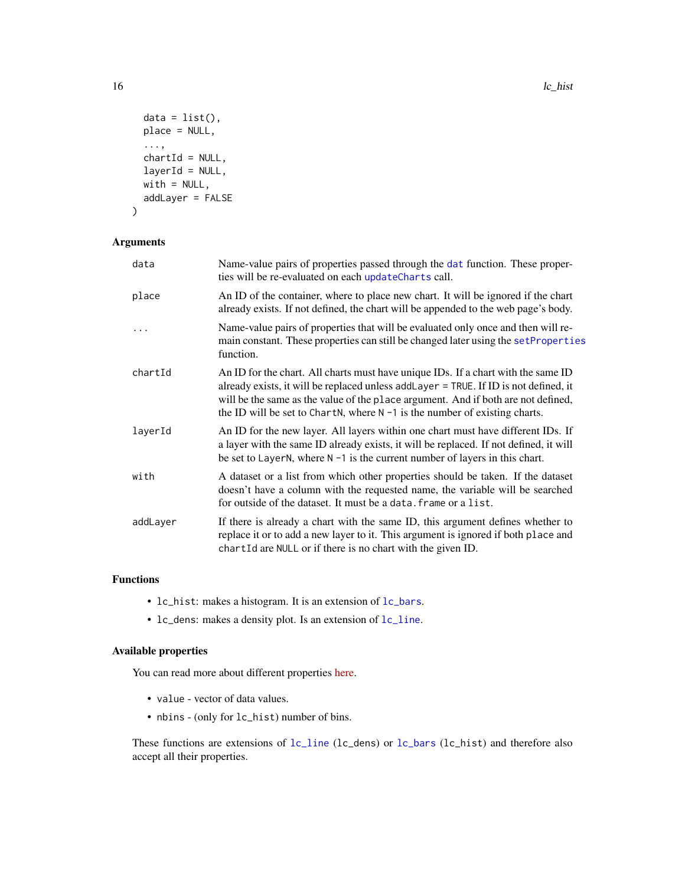```
data = list(),
 place = NULL,
  ...,
  chartId = NULL,layerId = NULL,with = NULL,addLayer = FALSE
\mathcal{L}
```
#### Arguments

| data     | Name-value pairs of properties passed through the dat function. These proper-<br>ties will be re-evaluated on each updateCharts call.                                                                                                                                                                                                            |
|----------|--------------------------------------------------------------------------------------------------------------------------------------------------------------------------------------------------------------------------------------------------------------------------------------------------------------------------------------------------|
| place    | An ID of the container, where to place new chart. It will be ignored if the chart<br>already exists. If not defined, the chart will be appended to the web page's body.                                                                                                                                                                          |
| $\ddots$ | Name-value pairs of properties that will be evaluated only once and then will re-<br>main constant. These properties can still be changed later using the set Properties<br>function.                                                                                                                                                            |
| chartId  | An ID for the chart. All charts must have unique IDs. If a chart with the same ID<br>already exists, it will be replaced unless add Layer = TRUE. If ID is not defined, it<br>will be the same as the value of the place argument. And if both are not defined,<br>the ID will be set to ChartN, where $N - 1$ is the number of existing charts. |
| layerId  | An ID for the new layer. All layers within one chart must have different IDs. If<br>a layer with the same ID already exists, it will be replaced. If not defined, it will<br>be set to LayerN, where $N - 1$ is the current number of layers in this chart.                                                                                      |
| with     | A dataset or a list from which other properties should be taken. If the dataset<br>doesn't have a column with the requested name, the variable will be searched<br>for outside of the dataset. It must be a data, frame or a list.                                                                                                               |
| addLayer | If there is already a chart with the same ID, this argument defines whether to<br>replace it or to add a new layer to it. This argument is ignored if both place and<br>chartId are NULL or if there is no chart with the given ID.                                                                                                              |

#### Functions

- lc\_hist: makes a histogram. It is an extension of [lc\\_bars](#page-6-1).
- lc\_dens: makes a density plot. Is an extension of [lc\\_line](#page-20-1).

#### Available properties

You can read more about different properties [here.](https://anders-biostat.github.io/linked-charts/rlc/tutorials/props.html)

- value vector of data values.
- nbins (only for lc\_hist) number of bins.

These functions are extensions of [lc\\_line](#page-20-1) (lc\_dens) or [lc\\_bars](#page-6-1) (lc\_hist) and therefore also accept all their properties.

<span id="page-15-0"></span>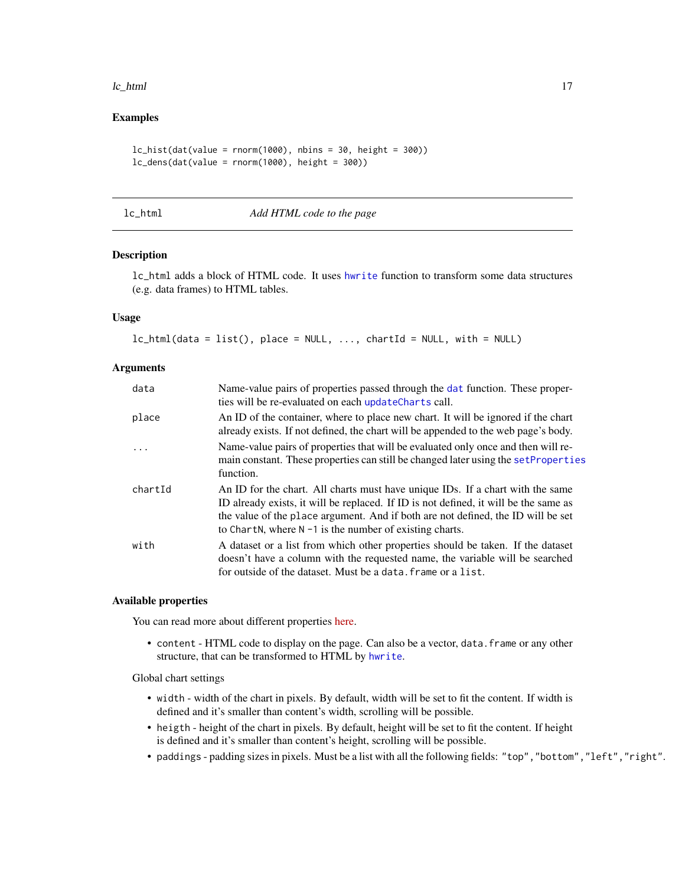#### <span id="page-16-0"></span>lc\_html 17

#### Examples

```
lc\_hist(data(value = rnorm(1000), nbins = 30, height = 300))lc\_dens(data(value = rnorm(1000), height = 300))
```
<span id="page-16-1"></span>lc\_html *Add HTML code to the page*

#### Description

lc\_html adds a block of HTML code. It uses [hwrite](#page-0-0) function to transform some data structures (e.g. data frames) to HTML tables.

#### Usage

```
lc_lptml(data = list(), place = NULL, ..., chartId = NULL, with = NULL)
```
#### Arguments

| data    | Name-value pairs of properties passed through the dat function. These proper-<br>ties will be re-evaluated on each updateCharts call.                                                                                                                                                                                    |
|---------|--------------------------------------------------------------------------------------------------------------------------------------------------------------------------------------------------------------------------------------------------------------------------------------------------------------------------|
| place   | An ID of the container, where to place new chart. It will be ignored if the chart<br>already exists. If not defined, the chart will be appended to the web page's body.                                                                                                                                                  |
|         | Name-value pairs of properties that will be evaluated only once and then will re-<br>main constant. These properties can still be changed later using the set Properties<br>function.                                                                                                                                    |
| chartId | An ID for the chart. All charts must have unique IDs. If a chart with the same<br>ID already exists, it will be replaced. If ID is not defined, it will be the same as<br>the value of the place argument. And if both are not defined, the ID will be set<br>to ChartN, where $N - 1$ is the number of existing charts. |
| with    | A dataset or a list from which other properties should be taken. If the dataset<br>doesn't have a column with the requested name, the variable will be searched<br>for outside of the dataset. Must be a data, frame or a list.                                                                                          |

#### Available properties

You can read more about different properties [here.](https://anders-biostat.github.io/linked-charts/rlc/tutorials/props.html)

• content - HTML code to display on the page. Can also be a vector, data.frame or any other structure, that can be transformed to HTML by [hwrite](#page-0-0).

Global chart settings

- width width of the chart in pixels. By default, width will be set to fit the content. If width is defined and it's smaller than content's width, scrolling will be possible.
- heigth height of the chart in pixels. By default, height will be set to fit the content. If height is defined and it's smaller than content's height, scrolling will be possible.
- paddings padding sizes in pixels. Must be a list with all the following fields: "top","bottom","left","right".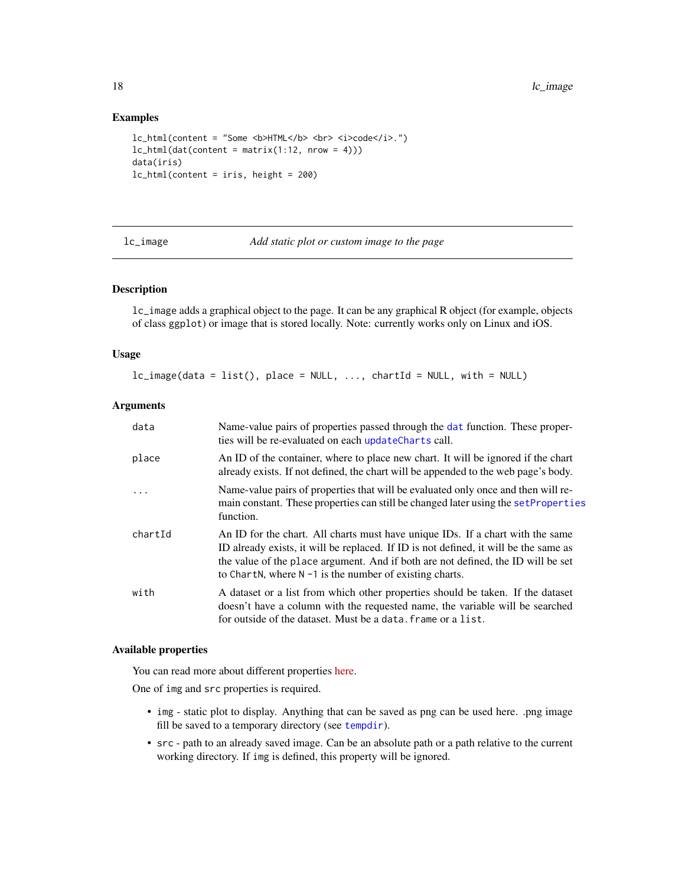18 let the state of the state of the state of the state of the state of the state of the state of the state of the state of the state of the state of the state of the state of the state of the state of the state of the sta

#### Examples

```
lc_html(content = "Some <b> HTML</b> <br> <i>code</i>.")
lc\_html(data(content = matrix(1:12, nrow = 4)))data(iris)
lc_html(content = iris, height = 200)
```
lc\_image *Add static plot or custom image to the page*

#### Description

lc\_image adds a graphical object to the page. It can be any graphical R object (for example, objects of class ggplot) or image that is stored locally. Note: currently works only on Linux and iOS.

#### Usage

 $lc\_image(data = list(), place = NULL, ..., chartId = NULL, with = NULL)$ 

#### Arguments

| data    | Name-value pairs of properties passed through the dat function. These proper-<br>ties will be re-evaluated on each updateCharts call.                                                                                                                                                                                    |
|---------|--------------------------------------------------------------------------------------------------------------------------------------------------------------------------------------------------------------------------------------------------------------------------------------------------------------------------|
| place   | An ID of the container, where to place new chart. It will be ignored if the chart<br>already exists. If not defined, the chart will be appended to the web page's body.                                                                                                                                                  |
| .       | Name-value pairs of properties that will be evaluated only once and then will re-<br>main constant. These properties can still be changed later using the set Properties<br>function.                                                                                                                                    |
| chartId | An ID for the chart. All charts must have unique IDs. If a chart with the same<br>ID already exists, it will be replaced. If ID is not defined, it will be the same as<br>the value of the place argument. And if both are not defined, the ID will be set<br>to ChartN, where $N - 1$ is the number of existing charts. |
| with    | A dataset or a list from which other properties should be taken. If the dataset<br>doesn't have a column with the requested name, the variable will be searched<br>for outside of the dataset. Must be a data, frame or a list.                                                                                          |

#### Available properties

You can read more about different properties [here.](https://anders-biostat.github.io/linked-charts/rlc/tutorials/props.html)

One of img and src properties is required.

- img static plot to display. Anything that can be saved as png can be used here. .png image fill be saved to a temporary directory (see [tempdir](#page-0-0)).
- src path to an already saved image. Can be an absolute path or a path relative to the current working directory. If img is defined, this property will be ignored.

<span id="page-17-0"></span>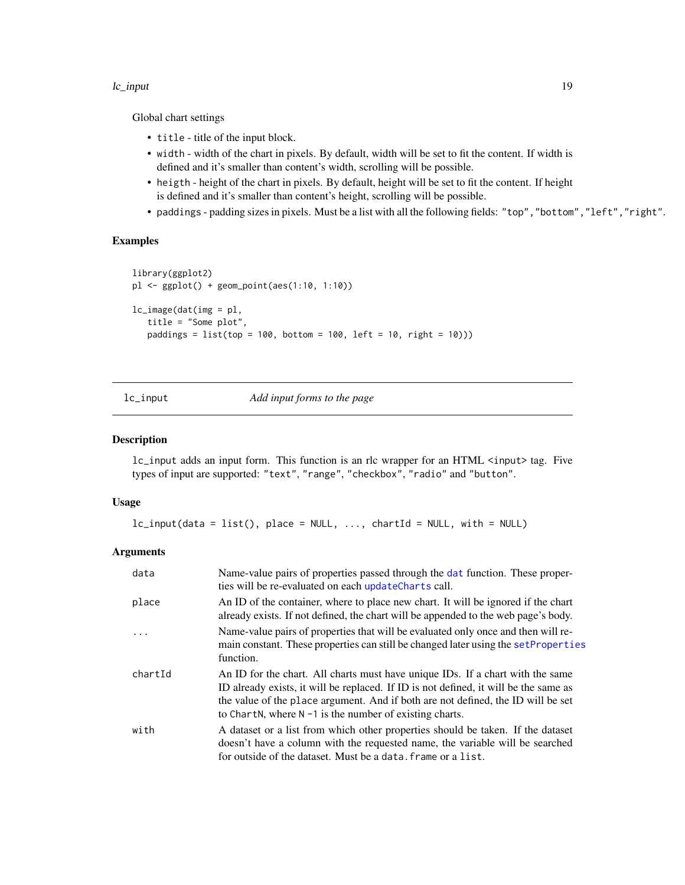#### <span id="page-18-0"></span>lc\_input 19

Global chart settings

- title title of the input block.
- width width of the chart in pixels. By default, width will be set to fit the content. If width is defined and it's smaller than content's width, scrolling will be possible.
- heigth height of the chart in pixels. By default, height will be set to fit the content. If height is defined and it's smaller than content's height, scrolling will be possible.
- paddings padding sizes in pixels. Must be a list with all the following fields: "top","bottom","left","right".

#### Examples

```
library(ggplot2)
pl <- ggplot() + geom_point(aes(1:10, 1:10))
lc_image(dat(img = pl,
   title = "Some plot",
   padding = list(top = 100, bottom = 100, left = 10, right = 10))
```
<span id="page-18-1"></span>

lc\_input *Add input forms to the page*

#### Description

lc\_input adds an input form. This function is an rlc wrapper for an HTML <input> tag. Five types of input are supported: "text", "range", "checkbox", "radio" and "button".

#### Usage

```
lc\_input(data = list(), place = NULL, ..., chartId = NULL, with = NULL)
```
#### Arguments

| data    | Name-value pairs of properties passed through the dat function. These proper-<br>ties will be re-evaluated on each updateCharts call.                                                                                                                                                                                    |
|---------|--------------------------------------------------------------------------------------------------------------------------------------------------------------------------------------------------------------------------------------------------------------------------------------------------------------------------|
| place   | An ID of the container, where to place new chart. It will be ignored if the chart<br>already exists. If not defined, the chart will be appended to the web page's body.                                                                                                                                                  |
| .       | Name-value pairs of properties that will be evaluated only once and then will re-<br>main constant. These properties can still be changed later using the set Properties<br>function.                                                                                                                                    |
| chartId | An ID for the chart. All charts must have unique IDs. If a chart with the same<br>ID already exists, it will be replaced. If ID is not defined, it will be the same as<br>the value of the place argument. And if both are not defined, the ID will be set<br>to ChartN, where $N - 1$ is the number of existing charts. |
| with    | A dataset or a list from which other properties should be taken. If the dataset<br>doesn't have a column with the requested name, the variable will be searched<br>for outside of the dataset. Must be a data, frame or a list.                                                                                          |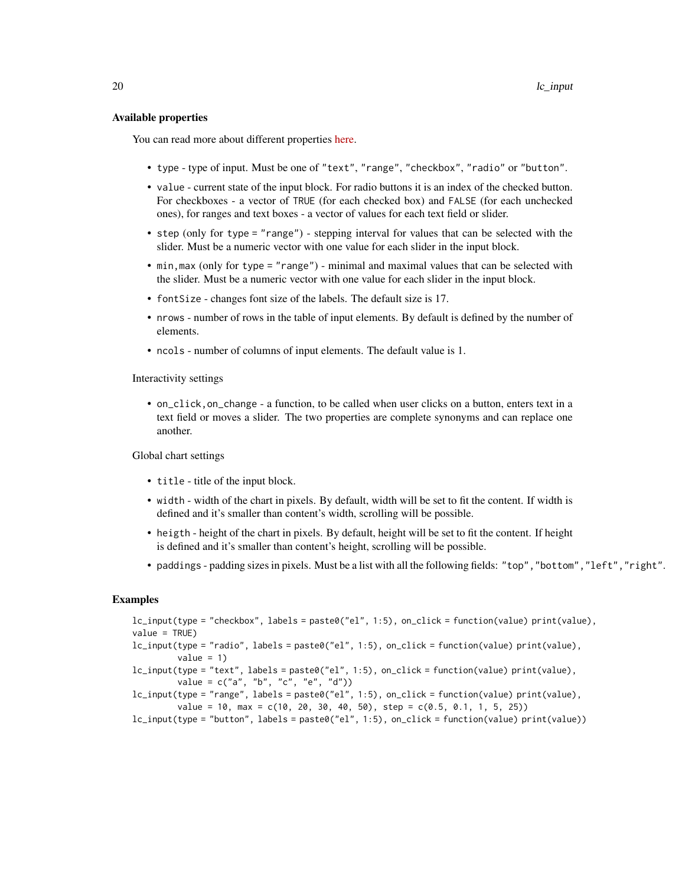#### Available properties

You can read more about different properties [here.](https://anders-biostat.github.io/linked-charts/rlc/tutorials/props.html)

- type type of input. Must be one of "text", "range", "checkbox", "radio" or "button".
- value current state of the input block. For radio buttons it is an index of the checked button. For checkboxes - a vector of TRUE (for each checked box) and FALSE (for each unchecked ones), for ranges and text boxes - a vector of values for each text field or slider.
- step (only for type = "range") stepping interval for values that can be selected with the slider. Must be a numeric vector with one value for each slider in the input block.
- min,max (only for type = "range") minimal and maximal values that can be selected with the slider. Must be a numeric vector with one value for each slider in the input block.
- fontSize changes font size of the labels. The default size is 17.
- nrows number of rows in the table of input elements. By default is defined by the number of elements.
- ncols number of columns of input elements. The default value is 1.

Interactivity settings

• on\_click,on\_change - a function, to be called when user clicks on a button, enters text in a text field or moves a slider. The two properties are complete synonyms and can replace one another.

Global chart settings

- title title of the input block.
- width width of the chart in pixels. By default, width will be set to fit the content. If width is defined and it's smaller than content's width, scrolling will be possible.
- heigth height of the chart in pixels. By default, height will be set to fit the content. If height is defined and it's smaller than content's height, scrolling will be possible.
- paddings padding sizes in pixels. Must be a list with all the following fields: "top","bottom","left","right".

#### Examples

```
lc_input(type = "checkbox", labels = paste0("el", 1:5), on_click = function(value) print(value),
value = TRUE)
lc_input(type = "radio", labels = paste0("el", 1:5), on_click = function(value) print(value),
         value = 1)
lc_input(type = "text", labels = paste0("el", 1:5), on_click = function(value) print(value),
         value = c("a", "b", "c", "e", "d")lc_input(type = "range", labels = paste0("el", 1:5), on_click = function(value) print(value),
         value = 10, max = c(10, 20, 30, 40, 50), step = c(0.5, 0.1, 1, 5, 25))
lc_input(type = "button", labels = paste0("el", 1:5), on_click = function(value) print(value))
```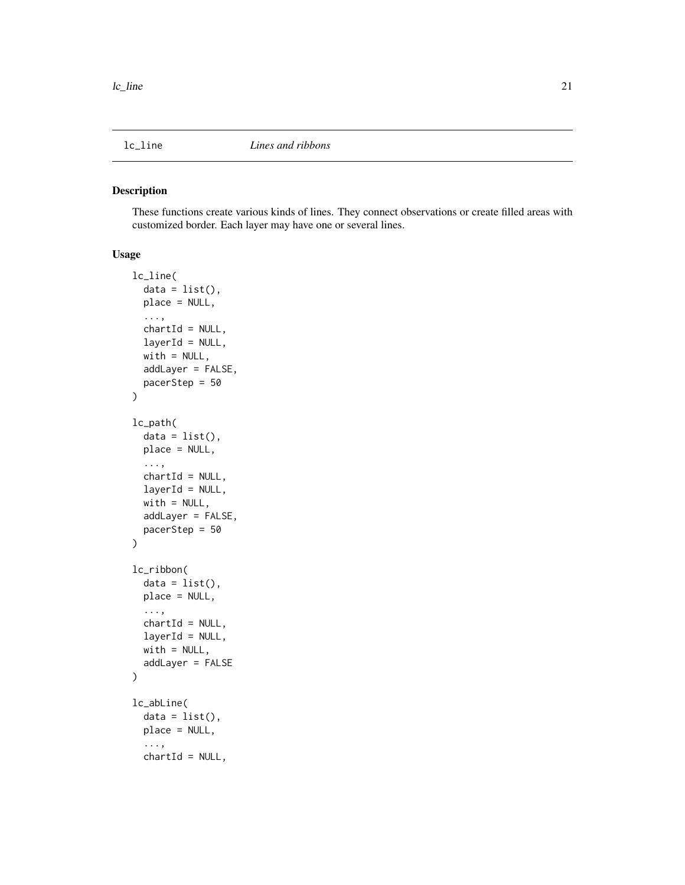<span id="page-20-1"></span><span id="page-20-0"></span>

#### <span id="page-20-2"></span>Description

These functions create various kinds of lines. They connect observations or create filled areas with customized border. Each layer may have one or several lines.

#### Usage

```
lc_line(
  data = list(),
  place = NULL,
  ...,
  chartId = NULL,layerId = NULL,with = NULL,addLayer = FALSE,
  pacerStep = 50
)
lc_path(
  data = list(),place = NULL,
  ...,
  chartId = NULL,layerId = NULL,with = NULL,addLayer = FALSE,
 pacerStep = 50
)
lc_ribbon(
  data = list(),
 place = NULL,
  ...,
  chartId = NULL,layerId = NULL,with = NULL,addLayer = FALSE
\mathcal{L}lc_abLine(
  data = list(),
 place = NULL,
  ...,
  chartId = NULL,
```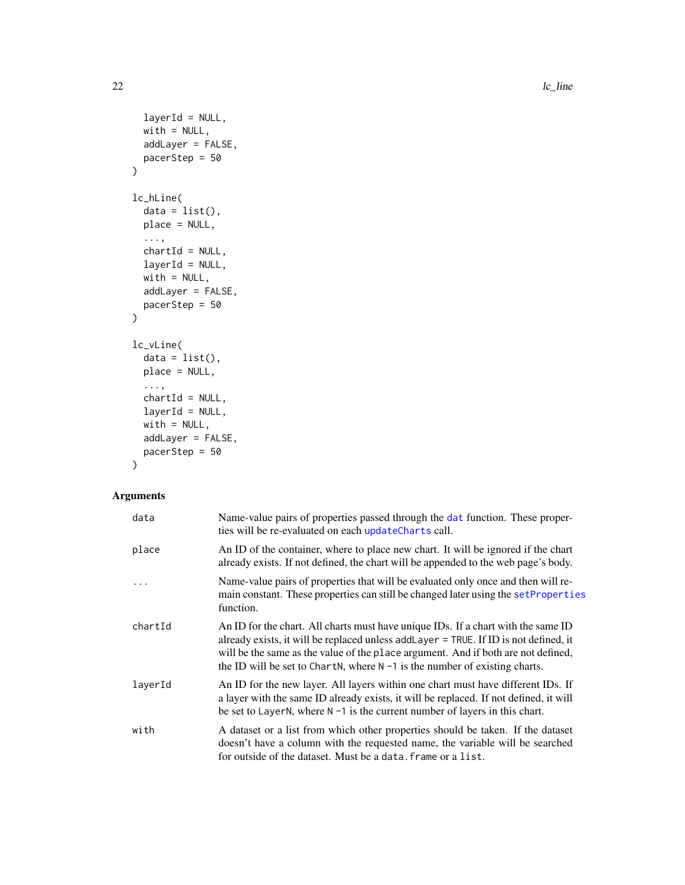$22$  lc\_line

```
layerId = NULL,with = NULL,addLayer = FALSE,
 pacerStep = 50
\mathcal{L}lc_hLine(
  data = list(),
 place = NULL,
  ...,
 chartId = NULL,layerId = NULL,with = NULL,addLayer = FALSE,
 pacerStep = 50
)
lc_vLine(
  data = list(),place = NULL,
  ...,
 chartId = NULL,layerId = NULL,with = NULL,addLayer = FALSE,
 pacerStep = 50
\mathcal{L}
```
### Arguments

| data    | Name-value pairs of properties passed through the dat function. These proper-<br>ties will be re-evaluated on each updateCharts call.                                                                                                                                                                                                            |
|---------|--------------------------------------------------------------------------------------------------------------------------------------------------------------------------------------------------------------------------------------------------------------------------------------------------------------------------------------------------|
| place   | An ID of the container, where to place new chart. It will be ignored if the chart<br>already exists. If not defined, the chart will be appended to the web page's body.                                                                                                                                                                          |
|         | Name-value pairs of properties that will be evaluated only once and then will re-<br>main constant. These properties can still be changed later using the set Properties<br>function.                                                                                                                                                            |
| chartId | An ID for the chart. All charts must have unique IDs. If a chart with the same ID<br>already exists, it will be replaced unless add Layer = TRUE. If ID is not defined, it<br>will be the same as the value of the place argument. And if both are not defined,<br>the ID will be set to ChartN, where $N - 1$ is the number of existing charts. |
| layerId | An ID for the new layer. All layers within one chart must have different IDs. If<br>a layer with the same ID already exists, it will be replaced. If not defined, it will<br>be set to LayerN, where $N - 1$ is the current number of layers in this chart.                                                                                      |
| with    | A dataset or a list from which other properties should be taken. If the dataset<br>doesn't have a column with the requested name, the variable will be searched<br>for outside of the dataset. Must be a data. frame or a list.                                                                                                                  |

<span id="page-21-0"></span>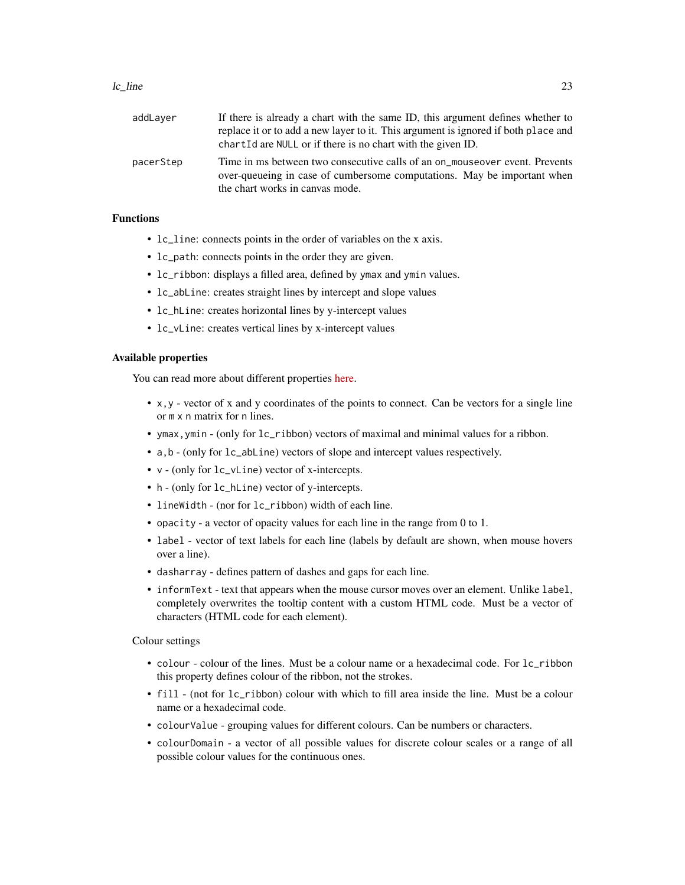#### $\lvert c \rvert$  line 23

| addLayer  | If there is already a chart with the same ID, this argument defines whether to<br>replace it or to add a new layer to it. This argument is ignored if both place and<br>chart Id are NULL or if there is no chart with the given ID. |
|-----------|--------------------------------------------------------------------------------------------------------------------------------------------------------------------------------------------------------------------------------------|
| pacerStep | Time in ms between two consecutive calls of an on_mouseover event. Prevents<br>over-queueing in case of cumbersome computations. May be important when<br>the chart works in canvas mode.                                            |

#### Functions

- lc\_line: connects points in the order of variables on the x axis.
- lc\_path: connects points in the order they are given.
- lc\_ribbon: displays a filled area, defined by ymax and ymin values.
- lc\_abLine: creates straight lines by intercept and slope values
- lc\_hLine: creates horizontal lines by y-intercept values
- 1c\_vLine: creates vertical lines by x-intercept values

#### Available properties

You can read more about different properties [here.](https://anders-biostat.github.io/linked-charts/rlc/tutorials/props.html)

- x,y vector of x and y coordinates of the points to connect. Can be vectors for a single line or m x n matrix for n lines.
- ymax,ymin (only for lc\_ribbon) vectors of maximal and minimal values for a ribbon.
- a,b (only for lc\_abLine) vectors of slope and intercept values respectively.
- v (only for lc\_vLine) vector of x-intercepts.
- h (only for lc\_hLine) vector of y-intercepts.
- lineWidth (nor for lc\_ribbon) width of each line.
- opacity a vector of opacity values for each line in the range from 0 to 1.
- label vector of text labels for each line (labels by default are shown, when mouse hovers over a line).
- dasharray defines pattern of dashes and gaps for each line.
- informText text that appears when the mouse cursor moves over an element. Unlike label, completely overwrites the tooltip content with a custom HTML code. Must be a vector of characters (HTML code for each element).

#### Colour settings

- colour colour of the lines. Must be a colour name or a hexadecimal code. For  $lc$ -ribbon this property defines colour of the ribbon, not the strokes.
- fill (not for lc\_ribbon) colour with which to fill area inside the line. Must be a colour name or a hexadecimal code.
- colourValue grouping values for different colours. Can be numbers or characters.
- colourDomain a vector of all possible values for discrete colour scales or a range of all possible colour values for the continuous ones.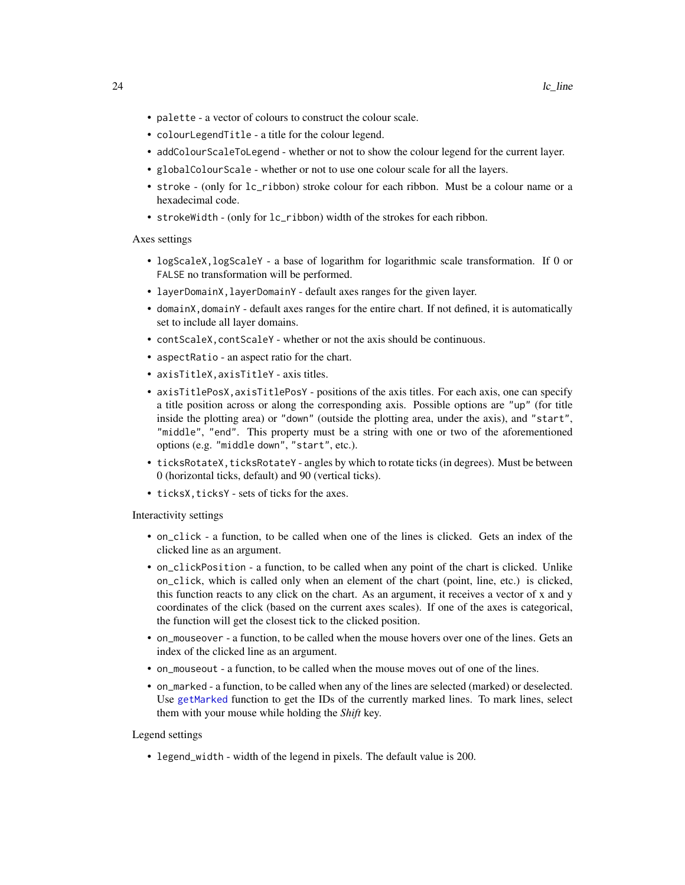- <span id="page-23-0"></span>• palette - a vector of colours to construct the colour scale.
- colourLegendTitle a title for the colour legend.
- addColourScaleToLegend whether or not to show the colour legend for the current layer.
- globalColourScale whether or not to use one colour scale for all the layers.
- stroke (only for lc\_ribbon) stroke colour for each ribbon. Must be a colour name or a hexadecimal code.
- strokeWidth (only for  $lc$ -ribbon) width of the strokes for each ribbon.

#### Axes settings

- logScaleX,logScaleY a base of logarithm for logarithmic scale transformation. If 0 or FALSE no transformation will be performed.
- layerDomainX,layerDomainY default axes ranges for the given layer.
- domainX,domainY default axes ranges for the entire chart. If not defined, it is automatically set to include all layer domains.
- contScaleX,contScaleY whether or not the axis should be continuous.
- aspectRatio an aspect ratio for the chart.
- axisTitleX,axisTitleY axis titles.
- axisTitlePosX,axisTitlePosY positions of the axis titles. For each axis, one can specify a title position across or along the corresponding axis. Possible options are "up" (for title inside the plotting area) or "down" (outside the plotting area, under the axis), and "start", "middle", "end". This property must be a string with one or two of the aforementioned options (e.g. "middle down", "start", etc.).
- ticksRotateX, ticksRotateY angles by which to rotate ticks (in degrees). Must be between 0 (horizontal ticks, default) and 90 (vertical ticks).
- ticksX, ticksY sets of ticks for the axes.

#### Interactivity settings

- on\_click a function, to be called when one of the lines is clicked. Gets an index of the clicked line as an argument.
- on\_clickPosition a function, to be called when any point of the chart is clicked. Unlike on\_click, which is called only when an element of the chart (point, line, etc.) is clicked, this function reacts to any click on the chart. As an argument, it receives a vector of x and y coordinates of the click (based on the current axes scales). If one of the axes is categorical, the function will get the closest tick to the clicked position.
- on\_mouseover a function, to be called when the mouse hovers over one of the lines. Gets an index of the clicked line as an argument.
- on\_mouseout a function, to be called when the mouse moves out of one of the lines.
- on\_marked a function, to be called when any of the lines are selected (marked) or deselected. Use [getMarked](#page-3-1) function to get the IDs of the currently marked lines. To mark lines, select them with your mouse while holding the *Shift* key.

#### Legend settings

• legend\_width - width of the legend in pixels. The default value is 200.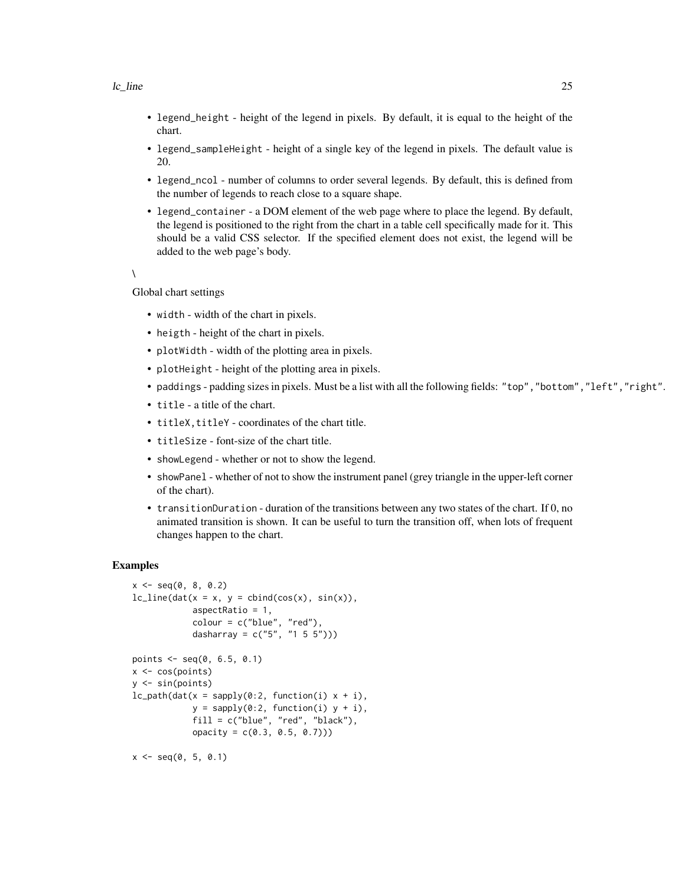- legend\_height height of the legend in pixels. By default, it is equal to the height of the chart.
- legend\_sampleHeight height of a single key of the legend in pixels. The default value is 20.
- legend\_ncol number of columns to order several legends. By default, this is defined from the number of legends to reach close to a square shape.
- legend\_container a DOM element of the web page where to place the legend. By default, the legend is positioned to the right from the chart in a table cell specifically made for it. This should be a valid CSS selector. If the specified element does not exist, the legend will be added to the web page's body.

```
\lambda
```
Global chart settings

- width width of the chart in pixels.
- heigth height of the chart in pixels.
- plotWidth width of the plotting area in pixels.
- plotHeight height of the plotting area in pixels.
- paddings padding sizes in pixels. Must be a list with all the following fields: "top","bottom","left","right".
- title a title of the chart.
- titleX, titleY coordinates of the chart title.
- titleSize font-size of the chart title.
- showLegend whether or not to show the legend.
- showPanel whether of not to show the instrument panel (grey triangle in the upper-left corner of the chart).
- transitionDuration duration of the transitions between any two states of the chart. If 0, no animated transition is shown. It can be useful to turn the transition off, when lots of frequent changes happen to the chart.

#### Examples

```
x \le - seq(0, 8, 0.2)
lc\_line(data(x = x, y = cbind(cos(x), sin(x)),aspectRatio = 1,
            color = c("blue", "red"),dasharray = c("5", "1 5 5"))points \leq - seq(0, 6.5, 0.1)
x \leftarrow \cos(points)y <- sin(points)
lc\_path(data(x = sapply(0:2, function(i) x + i))y = sapply(0:2, function(i) y + i),
            fill = c("blue", "red", "black"),
            opacity = c(0.3, 0.5, 0.7)))
```
 $x \le -$  seq(0, 5, 0.1)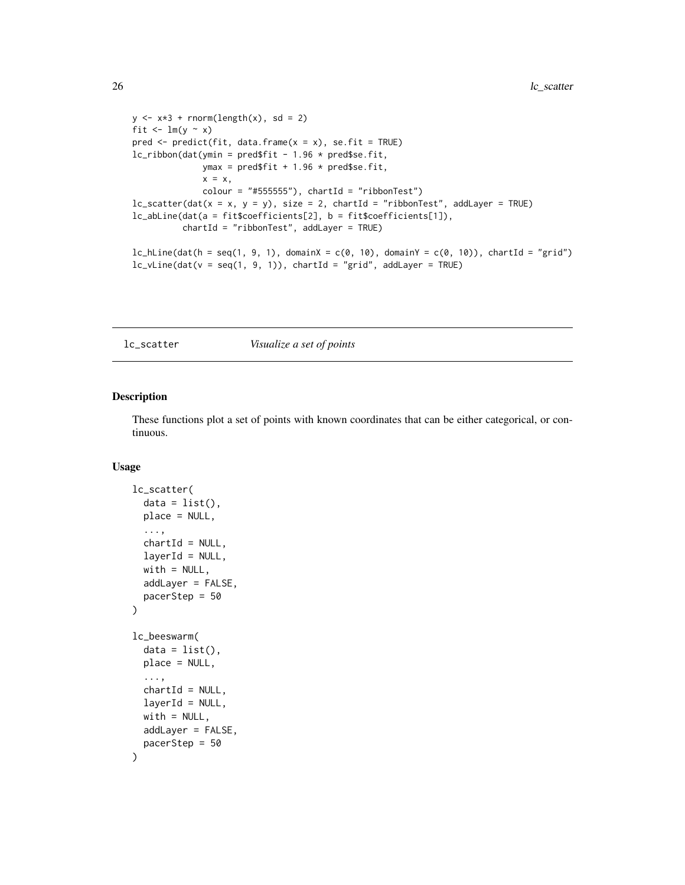```
y \le -x*3 + \text{norm}(\text{length}(x), \text{sd} = 2)fit \leftarrow \text{lm}(y \sim x)pred \leq predict(fit, data.frame(x = x), se.fit = TRUE)
lc\_ribbon(data(ymin = pred$fit - 1.96 * pred$se.fit,ymax = pred$fit + 1.96 * pred$se.fit,
               x = x,
               color = "#555555"), chartId = "ribbonTest")lc\_scatter(data(x = x, y = y), size = 2, chartId = "ribbonTest", addLayer = TRUE)lc_abLine(dat(a = fit$coefficients[2], b = fit$coefficients[1]),
          chartId = "ribbonTest", addLayer = TRUE)
lc\_hLine(data(h = seq(1, 9, 1), domainX = c(0, 10), domainY = c(0, 10)), chartId = "grid")
lc\_vLine(data(v = seq(1, 9, 1)), chartId = "grid", addLayer = TRUE)
```
<span id="page-25-1"></span>lc\_scatter *Visualize a set of points*

#### <span id="page-25-2"></span>Description

These functions plot a set of points with known coordinates that can be either categorical, or continuous.

#### Usage

```
lc_scatter(
  data = list(),
 place = NULL,
  ...,
  chartId = NULL,layerId = NULL,with = NULL,addLayer = FALSE,
  pacerStep = 50
\lambdalc_beeswarm(
  data = list(),place = NULL,
  ...,
  chartId = NULL,
  layerId = NULL,with = NULL,addLayer = FALSE,
  pacerStep = 50
)
```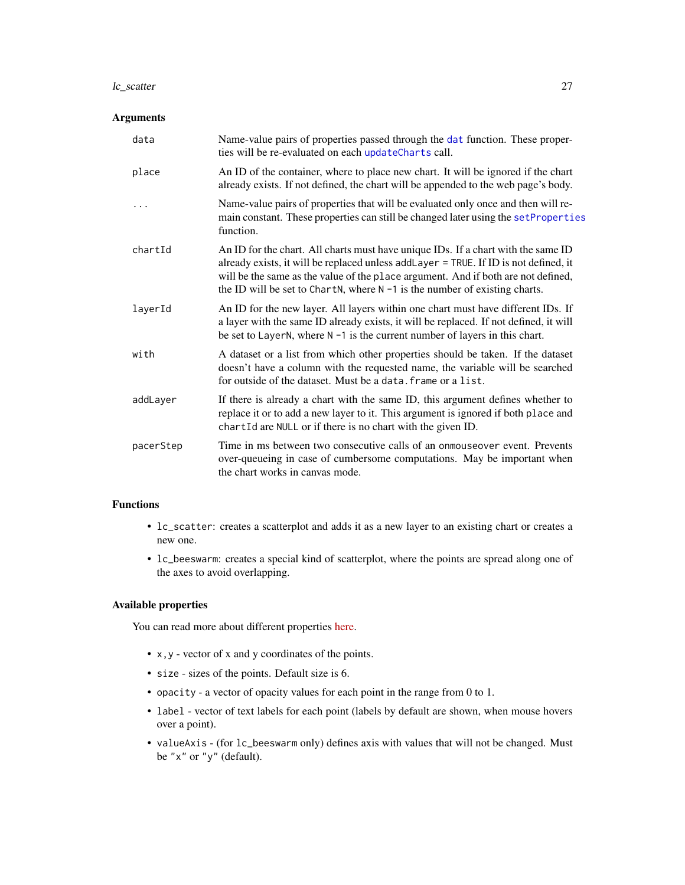#### <span id="page-26-0"></span>lc\_scatter 27

#### Arguments

| data      | Name-value pairs of properties passed through the dat function. These proper-<br>ties will be re-evaluated on each updateCharts call.                                                                                                                                                                                                           |
|-----------|-------------------------------------------------------------------------------------------------------------------------------------------------------------------------------------------------------------------------------------------------------------------------------------------------------------------------------------------------|
| place     | An ID of the container, where to place new chart. It will be ignored if the chart<br>already exists. If not defined, the chart will be appended to the web page's body.                                                                                                                                                                         |
| .         | Name-value pairs of properties that will be evaluated only once and then will re-<br>main constant. These properties can still be changed later using the setProperties<br>function.                                                                                                                                                            |
| chartId   | An ID for the chart. All charts must have unique IDs. If a chart with the same ID<br>already exists, it will be replaced unless addLayer = TRUE. If ID is not defined, it<br>will be the same as the value of the place argument. And if both are not defined,<br>the ID will be set to ChartN, where $N - 1$ is the number of existing charts. |
| layerId   | An ID for the new layer. All layers within one chart must have different IDs. If<br>a layer with the same ID already exists, it will be replaced. If not defined, it will<br>be set to LayerN, where $N - 1$ is the current number of layers in this chart.                                                                                     |
| with      | A dataset or a list from which other properties should be taken. If the dataset<br>doesn't have a column with the requested name, the variable will be searched<br>for outside of the dataset. Must be a data, frame or a list.                                                                                                                 |
| addLayer  | If there is already a chart with the same ID, this argument defines whether to<br>replace it or to add a new layer to it. This argument is ignored if both place and<br>chartId are NULL or if there is no chart with the given ID.                                                                                                             |
| pacerStep | Time in ms between two consecutive calls of an onmouse over event. Prevents<br>over-queueing in case of cumbersome computations. May be important when<br>the chart works in canvas mode.                                                                                                                                                       |

#### Functions

- lc\_scatter: creates a scatterplot and adds it as a new layer to an existing chart or creates a new one.
- lc\_beeswarm: creates a special kind of scatterplot, where the points are spread along one of the axes to avoid overlapping.

#### Available properties

You can read more about different properties [here.](https://anders-biostat.github.io/linked-charts/rlc/tutorials/props.html)

- x,y vector of x and y coordinates of the points.
- size sizes of the points. Default size is 6.
- opacity a vector of opacity values for each point in the range from 0 to 1.
- label vector of text labels for each point (labels by default are shown, when mouse hovers over a point).
- valueAxis (for lc\_beeswarm only) defines axis with values that will not be changed. Must be "x" or "y" (default).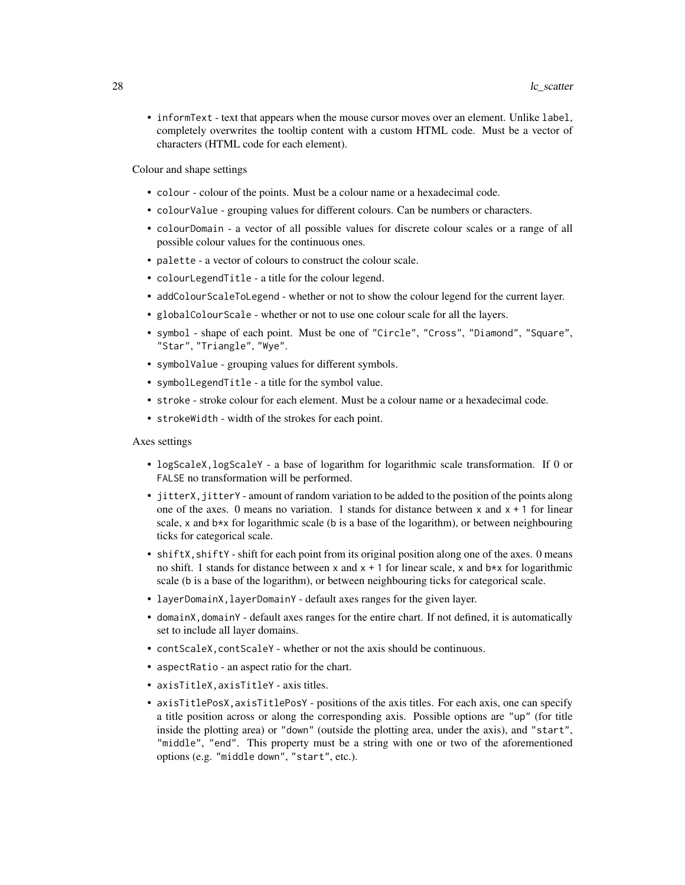• informText - text that appears when the mouse cursor moves over an element. Unlike label, completely overwrites the tooltip content with a custom HTML code. Must be a vector of characters (HTML code for each element).

Colour and shape settings

- colour colour of the points. Must be a colour name or a hexadecimal code.
- colourValue grouping values for different colours. Can be numbers or characters.
- colourDomain a vector of all possible values for discrete colour scales or a range of all possible colour values for the continuous ones.
- palette a vector of colours to construct the colour scale.
- colourLegendTitle a title for the colour legend.
- addColourScaleToLegend whether or not to show the colour legend for the current layer.
- globalColourScale whether or not to use one colour scale for all the layers.
- symbol shape of each point. Must be one of "Circle", "Cross", "Diamond", "Square", "Star", "Triangle", "Wye".
- symbolValue grouping values for different symbols.
- symbolLegendTitle a title for the symbol value.
- stroke stroke colour for each element. Must be a colour name or a hexadecimal code.
- strokeWidth width of the strokes for each point.

Axes settings

- logScaleX,logScaleY a base of logarithm for logarithmic scale transformation. If 0 or FALSE no transformation will be performed.
- jitterX, jitterY amount of random variation to be added to the position of the points along one of the axes. 0 means no variation. 1 stands for distance between x and  $x + 1$  for linear scale, x and  $b \times x$  for logarithmic scale (b is a base of the logarithm), or between neighbouring ticks for categorical scale.
- shiftX, shiftY shift for each point from its original position along one of the axes. 0 means no shift. 1 stands for distance between x and  $x + 1$  for linear scale, x and  $b \star x$  for logarithmic scale (b is a base of the logarithm), or between neighbouring ticks for categorical scale.
- layerDomainX,layerDomainY default axes ranges for the given layer.
- domainX, domainY default axes ranges for the entire chart. If not defined, it is automatically set to include all layer domains.
- contScaleX,contScaleY whether or not the axis should be continuous.
- aspectRatio an aspect ratio for the chart.
- axisTitleX,axisTitleY axis titles.
- axisTitlePosX,axisTitlePosY positions of the axis titles. For each axis, one can specify a title position across or along the corresponding axis. Possible options are "up" (for title inside the plotting area) or "down" (outside the plotting area, under the axis), and "start", "middle", "end". This property must be a string with one or two of the aforementioned options (e.g. "middle down", "start", etc.).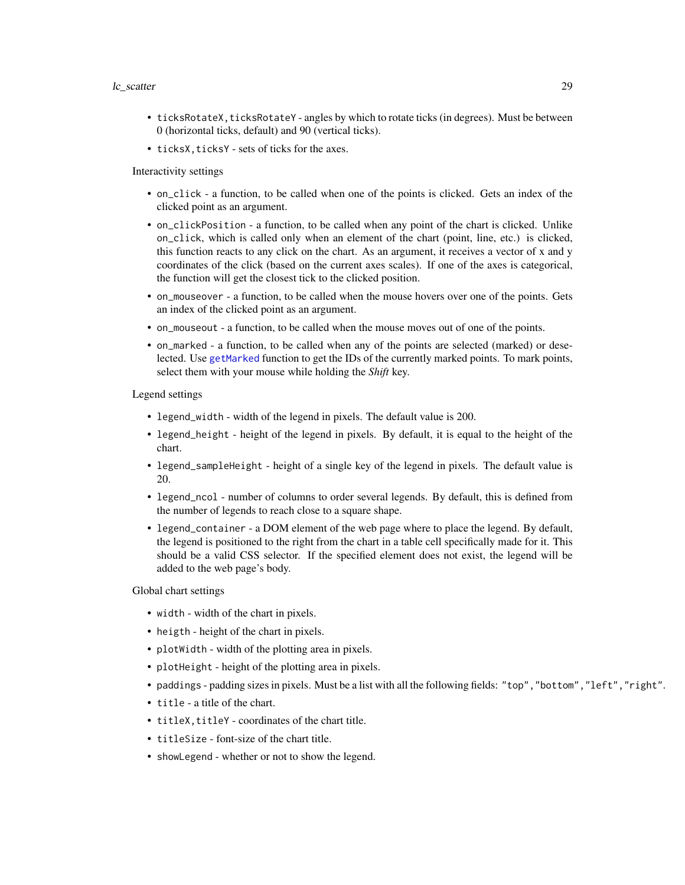#### <span id="page-28-0"></span>lc\_scatter 29

- ticksRotateX, ticksRotateY angles by which to rotate ticks (in degrees). Must be between 0 (horizontal ticks, default) and 90 (vertical ticks).
- ticksX, ticksY sets of ticks for the axes.

Interactivity settings

- on\_click a function, to be called when one of the points is clicked. Gets an index of the clicked point as an argument.
- on\_clickPosition a function, to be called when any point of the chart is clicked. Unlike on\_click, which is called only when an element of the chart (point, line, etc.) is clicked, this function reacts to any click on the chart. As an argument, it receives a vector of x and y coordinates of the click (based on the current axes scales). If one of the axes is categorical, the function will get the closest tick to the clicked position.
- on\_mouseover a function, to be called when the mouse hovers over one of the points. Gets an index of the clicked point as an argument.
- on\_mouseout a function, to be called when the mouse moves out of one of the points.
- on\_marked a function, to be called when any of the points are selected (marked) or deselected. Use [getMarked](#page-3-1) function to get the IDs of the currently marked points. To mark points, select them with your mouse while holding the *Shift* key.

Legend settings

- legend\_width width of the legend in pixels. The default value is 200.
- legend\_height height of the legend in pixels. By default, it is equal to the height of the chart.
- legend\_sampleHeight height of a single key of the legend in pixels. The default value is 20.
- legend\_ncol number of columns to order several legends. By default, this is defined from the number of legends to reach close to a square shape.
- legend\_container a DOM element of the web page where to place the legend. By default, the legend is positioned to the right from the chart in a table cell specifically made for it. This should be a valid CSS selector. If the specified element does not exist, the legend will be added to the web page's body.

Global chart settings

- width width of the chart in pixels.
- heigth height of the chart in pixels.
- plotWidth width of the plotting area in pixels.
- plotHeight height of the plotting area in pixels.
- paddings padding sizes in pixels. Must be a list with all the following fields: "top","bottom","left","right".
- title a title of the chart.
- titleX, titleY coordinates of the chart title.
- titleSize font-size of the chart title.
- showLegend whether or not to show the legend.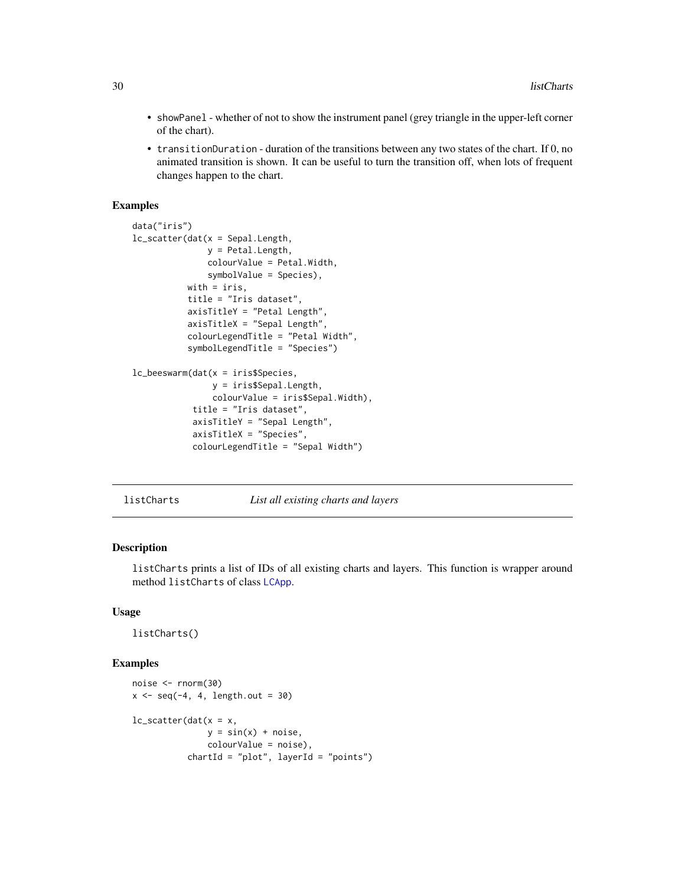- <span id="page-29-0"></span>• showPanel - whether of not to show the instrument panel (grey triangle in the upper-left corner of the chart).
- transitionDuration duration of the transitions between any two states of the chart. If 0, no animated transition is shown. It can be useful to turn the transition off, when lots of frequent changes happen to the chart.

#### Examples

```
data("iris")
lc_scatter(dat(x = Sepal.Length,
               y = Petal.Length,
               colourValue = Petal.Width,
               symbolValue = Species),
           with = iris,
           title = "Iris dataset",
           axisTitleY = "Petal Length",
           axisTitleX = "Sepal Length",
           colourLegendTitle = "Petal Width",
           symbolLegendTitle = "Species")
lc_beeswarm(dat(x = iris$Species,
                y = iris$Sepal.Length,
                colourValue = iris$Sepal.Width),
            title = "Iris dataset",
            axisTitleY = "Sepal Length",
            axisTitleX = "Species",
            colourLegendTitle = "Sepal Width")
```
<span id="page-29-1"></span>listCharts *List all existing charts and layers*

#### Description

listCharts prints a list of IDs of all existing charts and layers. This function is wrapper around method listCharts of class [LCApp](#page-5-1).

#### Usage

listCharts()

#### Examples

```
noise <- rnorm(30)
x \le - seq(-4, 4, length.out = 30)
lc\_scatter(data(x = x,y = sin(x) + noise,
               colourValue = noise),
           chartId = "plot", layerId = "points")
```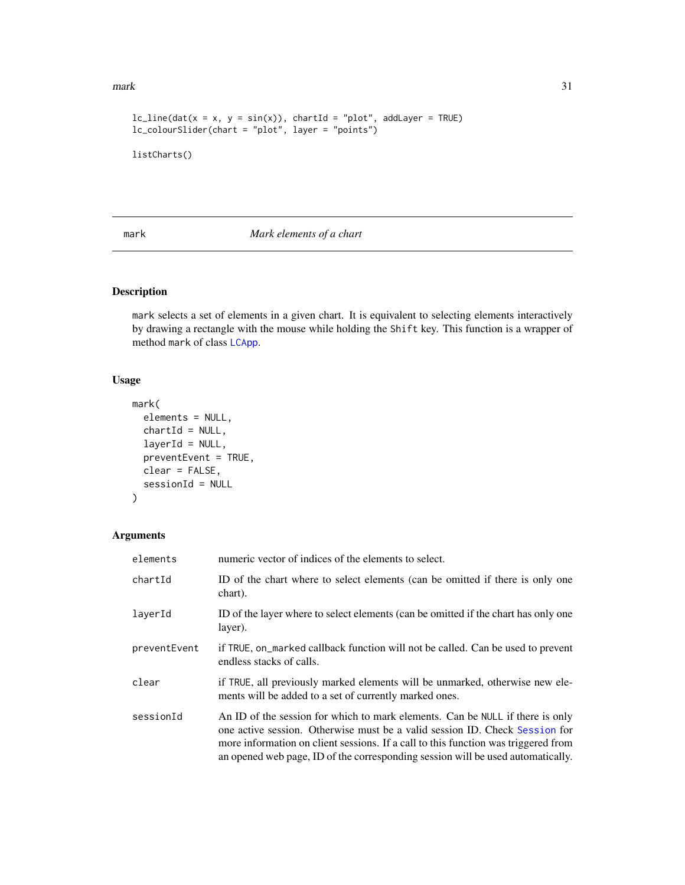#### <span id="page-30-0"></span> $\text{mark}$  31

```
lc\_line(data(x = x, y = sin(x)), chartId = "plot", addLayer = TRUE)lc_colourSlider(chart = "plot", layer = "points")
listCharts()
```
#### <span id="page-30-1"></span>mark *Mark elements of a chart*

#### Description

mark selects a set of elements in a given chart. It is equivalent to selecting elements interactively by drawing a rectangle with the mouse while holding the Shift key. This function is a wrapper of method mark of class [LCApp](#page-5-1).

#### Usage

```
mark(
 elements = NULL,
 chartId = NULL,layerId = NULL,preventEvent = TRUE,
 clear = FALSE,
  sessionId = NULL
)
```
#### Arguments

| elements     | numeric vector of indices of the elements to select.                                                                                                                                                                                                                                                                                  |
|--------------|---------------------------------------------------------------------------------------------------------------------------------------------------------------------------------------------------------------------------------------------------------------------------------------------------------------------------------------|
| chartId      | ID of the chart where to select elements (can be omitted if there is only one<br>chart).                                                                                                                                                                                                                                              |
| layerId      | ID of the layer where to select elements (can be omitted if the chart has only one<br>layer).                                                                                                                                                                                                                                         |
| preventEvent | if TRUE, on _marked callback function will not be called. Can be used to prevent<br>endless stacks of calls.                                                                                                                                                                                                                          |
| clear        | if TRUE, all previously marked elements will be unmarked, otherwise new ele-<br>ments will be added to a set of currently marked ones.                                                                                                                                                                                                |
| sessionId    | An ID of the session for which to mark elements. Can be NULL if there is only<br>one active session. Otherwise must be a valid session ID. Check Session for<br>more information on client sessions. If a call to this function was triggered from<br>an opened web page, ID of the corresponding session will be used automatically. |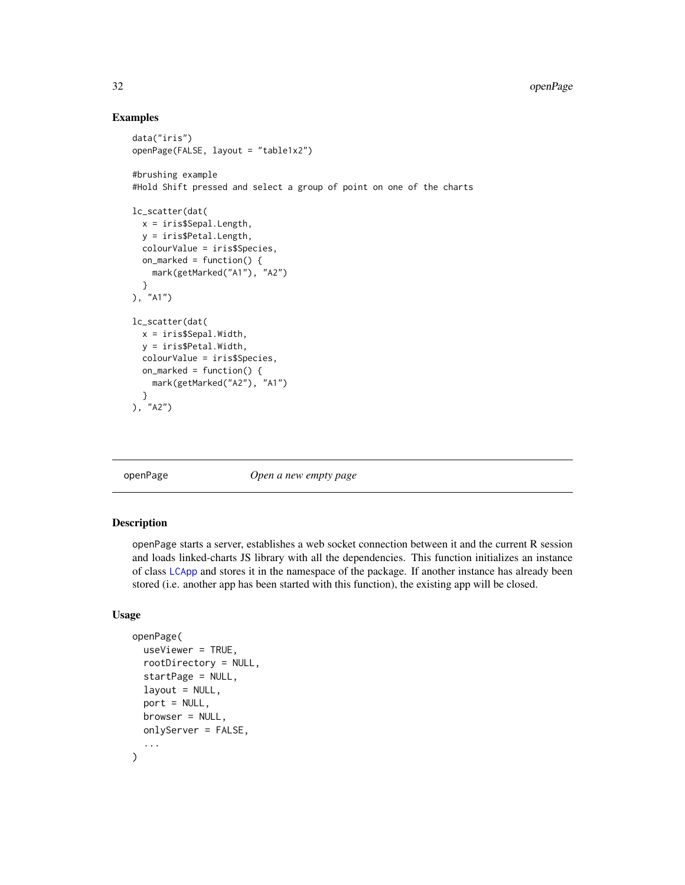#### Examples

```
data("iris")
openPage(FALSE, layout = "table1x2")
#brushing example
#Hold Shift pressed and select a group of point on one of the charts
lc_scatter(dat(
  x = iris$Sepal.Length,
  y = iris$Petal.Length,
  colourValue = iris$Species,
  on_marked = function() {
   mark(getMarked("A1"), "A2")
  }
), "A1")
lc_scatter(dat(
  x = iris$Sepal.Width,
  y = iris$Petal.Width,
  colourValue = iris$Species,
  on_marked = function() {
   mark(getMarked("A2"), "A1")
  }
), "A2")
```
<span id="page-31-1"></span>

openPage *Open a new empty page*

#### Description

openPage starts a server, establishes a web socket connection between it and the current R session and loads linked-charts JS library with all the dependencies. This function initializes an instance of class [LCApp](#page-5-1) and stores it in the namespace of the package. If another instance has already been stored (i.e. another app has been started with this function), the existing app will be closed.

#### Usage

```
openPage(
  useViewer = TRUE,
  rootDirectory = NULL,
  startPage = NULL,
  layout = NULL,
  port = NULL,
  browser = NULL,
  onlyServer = FALSE,
  ...
)
```
<span id="page-31-0"></span>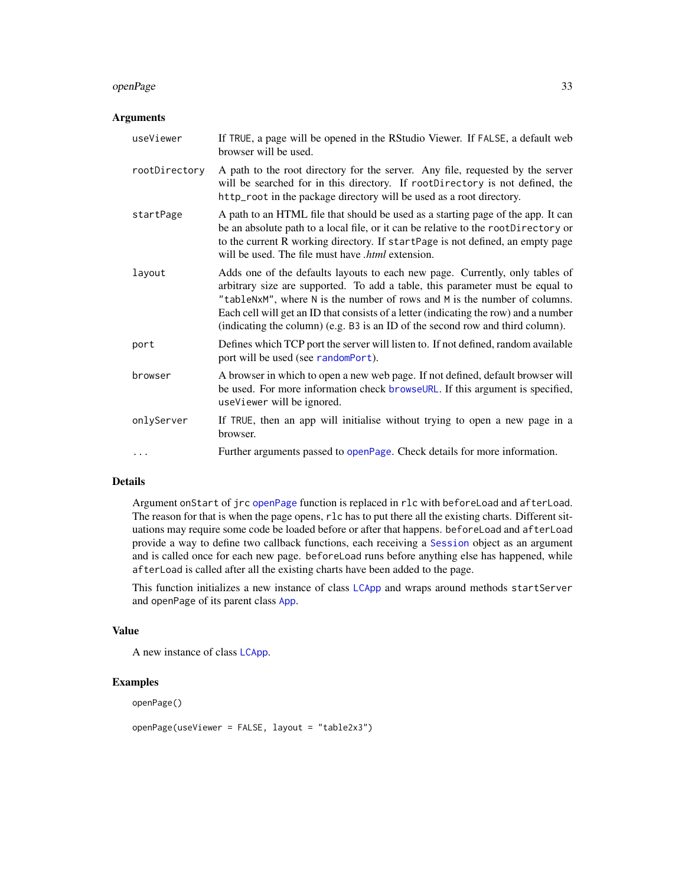#### <span id="page-32-0"></span>openPage 33

#### Arguments

| useViewer     | If TRUE, a page will be opened in the RStudio Viewer. If FALSE, a default web<br>browser will be used.                                                                                                                                                                                                                                                                                                               |
|---------------|----------------------------------------------------------------------------------------------------------------------------------------------------------------------------------------------------------------------------------------------------------------------------------------------------------------------------------------------------------------------------------------------------------------------|
| rootDirectory | A path to the root directory for the server. Any file, requested by the server<br>will be searched for in this directory. If rootDirectory is not defined, the<br>http_root in the package directory will be used as a root directory.                                                                                                                                                                               |
| startPage     | A path to an HTML file that should be used as a starting page of the app. It can<br>be an absolute path to a local file, or it can be relative to the rootDirectory or<br>to the current R working directory. If startPage is not defined, an empty page<br>will be used. The file must have <i>html</i> extension.                                                                                                  |
| layout        | Adds one of the defaults layouts to each new page. Currently, only tables of<br>arbitrary size are supported. To add a table, this parameter must be equal to<br>"tableNxM", where N is the number of rows and M is the number of columns.<br>Each cell will get an ID that consists of a letter (indicating the row) and a number<br>(indicating the column) (e.g. B3 is an ID of the second row and third column). |
| port          | Defines which TCP port the server will listen to. If not defined, random available<br>port will be used (see randomPort).                                                                                                                                                                                                                                                                                            |
| browser       | A browser in which to open a new web page. If not defined, default browser will<br>be used. For more information check browseURL. If this argument is specified,<br>useViewer will be ignored.                                                                                                                                                                                                                       |
| onlyServer    | If TRUE, then an app will initialise without trying to open a new page in a<br>browser.                                                                                                                                                                                                                                                                                                                              |
| $\ddotsc$     | Further arguments passed to openPage. Check details for more information.                                                                                                                                                                                                                                                                                                                                            |

#### Details

Argument onStart of jrc [openPage](#page-31-1) function is replaced in rlc with beforeLoad and afterLoad. The reason for that is when the page opens, rlc has to put there all the existing charts. Different situations may require some code be loaded before or after that happens. beforeLoad and afterLoad provide a way to define two callback functions, each receiving a [Session](#page-0-0) object as an argument and is called once for each new page. beforeLoad runs before anything else has happened, while afterLoad is called after all the existing charts have been added to the page.

This function initializes a new instance of class [LCApp](#page-5-1) and wraps around methods startServer and openPage of its parent class [App](#page-0-0).

#### Value

```
A new instance of class LCApp.
```
#### Examples

openPage()

openPage(useViewer = FALSE, layout = "table2x3")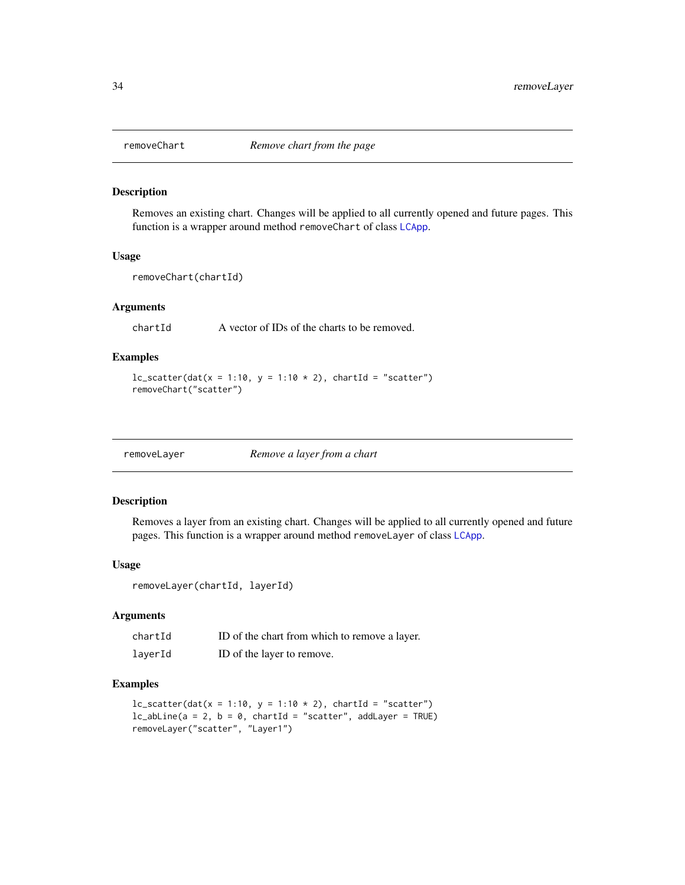<span id="page-33-1"></span><span id="page-33-0"></span>

#### Description

Removes an existing chart. Changes will be applied to all currently opened and future pages. This function is a wrapper around method removeChart of class [LCApp](#page-5-1).

#### Usage

removeChart(chartId)

#### Arguments

chartId A vector of IDs of the charts to be removed.

#### Examples

```
lc\_scatter(data(x = 1:10, y = 1:10 * 2), chartId = "scatter")removeChart("scatter")
```
<span id="page-33-2"></span>

| Remove a layer from a chart<br>removeLayer |  |
|--------------------------------------------|--|
|--------------------------------------------|--|

#### Description

Removes a layer from an existing chart. Changes will be applied to all currently opened and future pages. This function is a wrapper around method removeLayer of class [LCApp](#page-5-1).

#### Usage

removeLayer(chartId, layerId)

#### Arguments

| chartId | ID of the chart from which to remove a layer. |
|---------|-----------------------------------------------|
| layerId | ID of the layer to remove.                    |

#### Examples

```
lc\_scatter(data(x = 1:10, y = 1:10 * 2), chartId = "scatter")lc\_abLine(a = 2, b = 0, chartId = "scatter", addLayer = TRUE)removeLayer("scatter", "Layer1")
```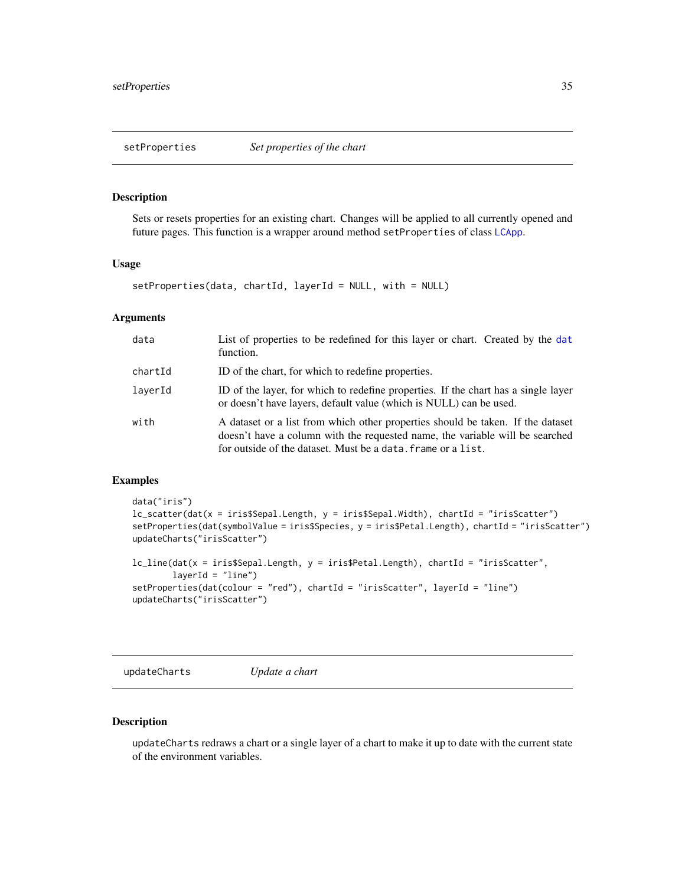#### <span id="page-34-2"></span><span id="page-34-0"></span>Description

Sets or resets properties for an existing chart. Changes will be applied to all currently opened and future pages. This function is a wrapper around method setProperties of class [LCApp](#page-5-1).

#### Usage

```
setProperties(data, chartId, layerId = NULL, with = NULL)
```
#### **Arguments**

| data    | List of properties to be redefined for this layer or chart. Created by the dat<br>function.                                                                                                                                     |
|---------|---------------------------------------------------------------------------------------------------------------------------------------------------------------------------------------------------------------------------------|
| chartId | ID of the chart, for which to redefine properties.                                                                                                                                                                              |
| laverId | ID of the layer, for which to redefine properties. If the chart has a single layer<br>or doesn't have layers, default value (which is NULL) can be used.                                                                        |
| with    | A dataset or a list from which other properties should be taken. If the dataset<br>doesn't have a column with the requested name, the variable will be searched<br>for outside of the dataset. Must be a data, frame or a list. |

#### Examples

```
data("iris")
lc_scatter(dat(x = iris$Sepal.Length, y = iris$Sepal.Width), chartId = "irisScatter")
setProperties(dat(symbolValue = iris$Species, y = iris$Petal.Length), chartId = "irisScatter")
updateCharts("irisScatter")
```

```
lc_line(dat(x = iris$Sepal.Length, y = iris$Petal.Length), chartId = "irisScatter",
       layerId = "line")setProperties(dat(colour = "red"), chartId = "irisScatter", layerId = "line")
updateCharts("irisScatter")
```
<span id="page-34-1"></span>updateCharts *Update a chart*

#### Description

updateCharts redraws a chart or a single layer of a chart to make it up to date with the current state of the environment variables.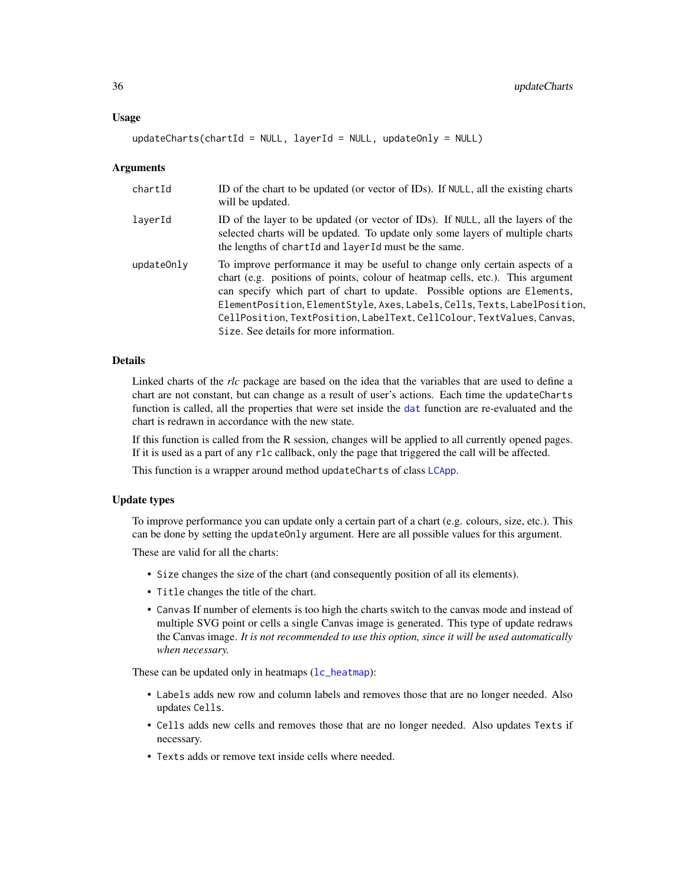<span id="page-35-0"></span> $updateCharles(chartId = NULL, layerId = NULL, updateOnly = NULL)$ 

#### Arguments

| chartId    | ID of the chart to be updated (or vector of IDs). If NULL, all the existing charts<br>will be updated.                                                                                                                                                                                                                                                                                                                                       |
|------------|----------------------------------------------------------------------------------------------------------------------------------------------------------------------------------------------------------------------------------------------------------------------------------------------------------------------------------------------------------------------------------------------------------------------------------------------|
| laverId    | ID of the layer to be updated (or vector of IDs). If NULL, all the layers of the<br>selected charts will be updated. To update only some layers of multiple charts<br>the lengths of chartId and layerId must be the same.                                                                                                                                                                                                                   |
| updateOnly | To improve performance it may be useful to change only certain aspects of a<br>chart (e.g. positions of points, colour of heatmap cells, etc.). This argument<br>can specify which part of chart to update. Possible options are Elements,<br>ElementPosition, ElementStyle, Axes, Labels, Cells, Texts, LabelPosition,<br>CellPosition, TextPosition, LabelText, CellColour, TextValues, Canvas,<br>Size. See details for more information. |

#### Details

Linked charts of the *rlc* package are based on the idea that the variables that are used to define a chart are not constant, but can change as a result of user's actions. Each time the updateCharts function is called, all the properties that were set inside the [dat](#page-2-1) function are re-evaluated and the chart is redrawn in accordance with the new state.

If this function is called from the R session, changes will be applied to all currently opened pages. If it is used as a part of any rlc callback, only the page that triggered the call will be affected.

This function is a wrapper around method updateCharts of class [LCApp](#page-5-1).

#### Update types

To improve performance you can update only a certain part of a chart (e.g. colours, size, etc.). This can be done by setting the updateOnly argument. Here are all possible values for this argument.

These are valid for all the charts:

- Size changes the size of the chart (and consequently position of all its elements).
- Title changes the title of the chart.
- Canvas If number of elements is too high the charts switch to the canvas mode and instead of multiple SVG point or cells a single Canvas image is generated. This type of update redraws the Canvas image. *It is not recommended to use this option, since it will be used automatically when necessary.*

These can be updated only in heatmaps  $(1c$ -heatmap):

- Labels adds new row and column labels and removes those that are no longer needed. Also updates Cells.
- Cells adds new cells and removes those that are no longer needed. Also updates Texts if necessary.
- Texts adds or remove text inside cells where needed.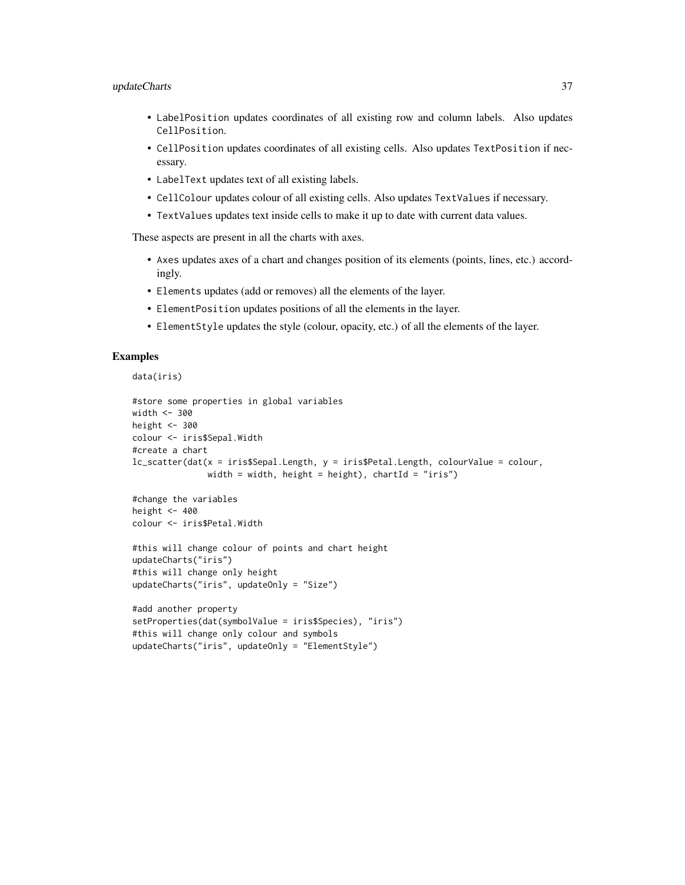#### updateCharts 37

- LabelPosition updates coordinates of all existing row and column labels. Also updates CellPosition.
- CellPosition updates coordinates of all existing cells. Also updates TextPosition if necessary.
- LabelText updates text of all existing labels.
- CellColour updates colour of all existing cells. Also updates TextValues if necessary.
- TextValues updates text inside cells to make it up to date with current data values.

These aspects are present in all the charts with axes.

- Axes updates axes of a chart and changes position of its elements (points, lines, etc.) accordingly.
- Elements updates (add or removes) all the elements of the layer.
- ElementPosition updates positions of all the elements in the layer.
- ElementStyle updates the style (colour, opacity, etc.) of all the elements of the layer.

#### Examples

```
data(iris)
```

```
#store some properties in global variables
width <- 300
height <-300colour <- iris$Sepal.Width
#create a chart
lc_scatter(dat(x = iris$Sepal.Length, y = iris$Petal.Length, colourValue = colour,
              width = width, height = height), chartId = "iris")
```

```
#change the variables
height <-400colour <- iris$Petal.Width
```

```
#this will change colour of points and chart height
updateCharts("iris")
#this will change only height
updateCharts("iris", updateOnly = "Size")
```

```
#add another property
setProperties(dat(symbolValue = iris$Species), "iris")
#this will change only colour and symbols
updateCharts("iris", updateOnly = "ElementStyle")
```